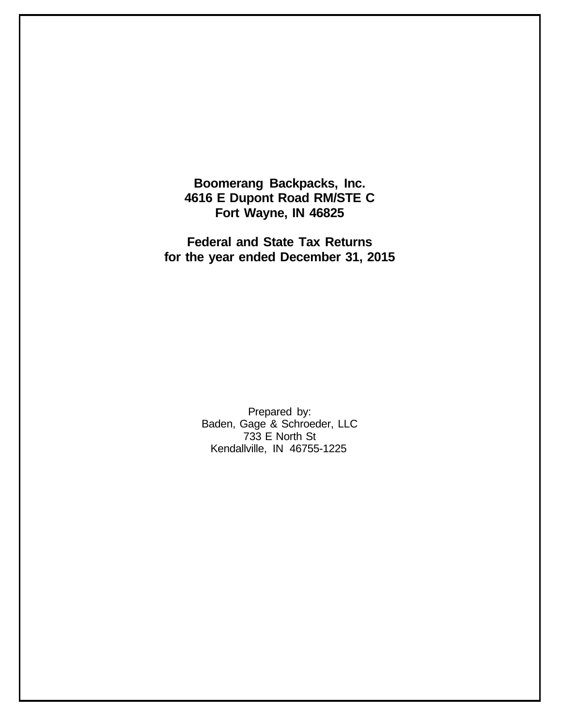**Boomerang Backpacks, Inc. 4616 E Dupont Road RM/STE C Fort Wayne, IN 46825**

**Federal and State Tax Returns for the year ended December 31, 2015**

> Prepared by: Baden, Gage & Schroeder, LLC 733 E North St Kendallville, IN 46755-1225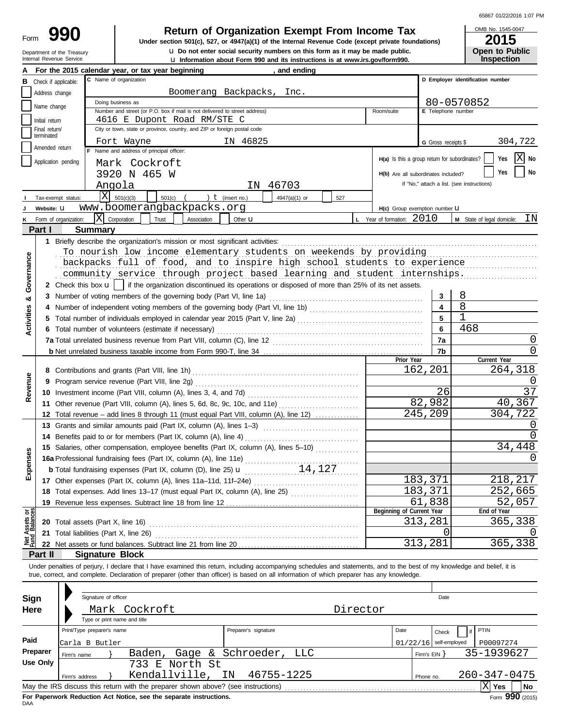|  | 65867 01/22/2016 1:07 PM |  |  |
|--|--------------------------|--|--|
|--|--------------------------|--|--|

|      | . . |
|------|-----|
| Form |     |

Department of the Treasury<br>Internal Revenue Service

u Information about Form 990 and its instructions is at www.irs.gov/form990. **u** Do not enter social security numbers on this form as it may be made public. **990 2015**<br>
Under section 501(c), 527, or 4947(a)(1) of the Internal Revenue Code (except private foundations) **2015** 

OMB No. 1545-0047 **Inspection** 

|                                |                             | For the 2015 calendar year, or tax year beginning                                                                                                                          | and ending                                 |          |                                               |                          |                                            |
|--------------------------------|-----------------------------|----------------------------------------------------------------------------------------------------------------------------------------------------------------------------|--------------------------------------------|----------|-----------------------------------------------|--------------------------|--------------------------------------------|
| в                              | Check if applicable:        | C Name of organization                                                                                                                                                     |                                            |          |                                               |                          | D Employer identification number           |
|                                | Address change              |                                                                                                                                                                            | Boomerang Backpacks, Inc.                  |          |                                               |                          |                                            |
|                                | Name change                 | Doing business as                                                                                                                                                          |                                            |          |                                               |                          | 80-0570852                                 |
|                                |                             | Number and street (or P.O. box if mail is not delivered to street address)                                                                                                 |                                            |          | Room/suite                                    | E Telephone number       |                                            |
|                                | Initial return              | 4616 E Dupont Road RM/STE C                                                                                                                                                |                                            |          |                                               |                          |                                            |
|                                | Final return/<br>terminated | City or town, state or province, country, and ZIP or foreign postal code                                                                                                   |                                            |          |                                               |                          |                                            |
|                                | Amended return              | Fort Wayne                                                                                                                                                                 | IN 46825                                   |          |                                               | G Gross receipts \$      | 304,722                                    |
|                                |                             | F Name and address of principal officer:                                                                                                                                   |                                            |          | H(a) Is this a group return for subordinates? |                          | X No<br>Yes                                |
|                                | Application pending         | Mark Cockroft                                                                                                                                                              |                                            |          |                                               |                          |                                            |
|                                |                             | 3920 N 465 W                                                                                                                                                               |                                            |          | H(b) Are all subordinates included?           |                          | No<br>Yes                                  |
|                                |                             | Angola                                                                                                                                                                     | IN 46703                                   |          |                                               |                          | If "No," attach a list. (see instructions) |
|                                | Tax-exempt status:          | $\overline{X}$ 501(c)(3)<br>501(c)                                                                                                                                         | ) $t$ (insert no.)<br>4947(a)(1) or<br>527 |          |                                               |                          |                                            |
|                                | Website: U                  | www.boomerangbackpacks.org                                                                                                                                                 |                                            |          | H(c) Group exemption number LI                |                          |                                            |
| κ                              | Form of organization:       | X Corporation<br>Trust<br>Association                                                                                                                                      | Other <b>u</b>                             |          | L Year of formation: 2010                     |                          | ΙN<br>M State of legal domicile:           |
|                                | Part I                      | <b>Summary</b>                                                                                                                                                             |                                            |          |                                               |                          |                                            |
|                                |                             | 1 Briefly describe the organization's mission or most significant activities:                                                                                              |                                            |          |                                               |                          |                                            |
|                                |                             | To nourish low income elementary students on weekends by providing                                                                                                         |                                            |          |                                               |                          |                                            |
|                                |                             | backpacks full of food, and to inspire high school students to experience                                                                                                  |                                            |          |                                               |                          |                                            |
|                                |                             | community service through project based learning and student internships.                                                                                                  |                                            |          |                                               |                          |                                            |
| Governance                     |                             | 2 Check this box $\mathbf{u}$   if the organization discontinued its operations or disposed of more than 25% of its net assets.                                            |                                            |          |                                               |                          |                                            |
|                                | 3                           | Number of voting members of the governing body (Part VI, line 1a)                                                                                                          |                                            |          |                                               | 3                        | 8                                          |
| ೲ                              |                             |                                                                                                                                                                            |                                            |          |                                               | $\overline{\mathbf{4}}$  | 8                                          |
|                                |                             |                                                                                                                                                                            |                                            |          |                                               | 5                        | $\mathbf{1}$                               |
| <b>Activities</b>              | 5.                          | Total number of individuals employed in calendar year 2015 (Part V, line 2a) [[[[[[[[[[[[[[[[[[[[[[[[[[[[[[[[                                                              |                                            |          |                                               | 6                        | 468                                        |
|                                |                             | 6 Total number of volunteers (estimate if necessary)                                                                                                                       |                                            |          |                                               |                          |                                            |
|                                |                             | 7a Total unrelated business revenue from Part VIII, column (C), line 12                                                                                                    |                                            |          |                                               | 7a                       | 0<br>0                                     |
|                                |                             |                                                                                                                                                                            |                                            |          | Prior Year                                    | 7b                       | Current Year                               |
|                                |                             |                                                                                                                                                                            |                                            |          |                                               | 162,201                  | 264,318                                    |
|                                | 9                           |                                                                                                                                                                            |                                            |          |                                               |                          | $\left( \right)$                           |
| Revenue                        |                             |                                                                                                                                                                            |                                            |          |                                               | 26                       | 37                                         |
|                                |                             |                                                                                                                                                                            |                                            |          |                                               | 82,982                   | 40,367                                     |
|                                |                             | 11 Other revenue (Part VIII, column (A), lines 5, 6d, 8c, 9c, 10c, and 11e)                                                                                                |                                            |          |                                               |                          |                                            |
|                                |                             | 12 Total revenue - add lines 8 through 11 (must equal Part VIII, column (A), line 12)                                                                                      |                                            |          |                                               | 245,209                  | 304,722                                    |
|                                |                             | 13 Grants and similar amounts paid (Part IX, column (A), lines 1-3)                                                                                                        |                                            |          |                                               |                          | 0                                          |
|                                |                             |                                                                                                                                                                            |                                            |          |                                               |                          | 0                                          |
|                                |                             | 15 Salaries, other compensation, employee benefits (Part IX, column (A), lines 5-10)                                                                                       |                                            |          |                                               |                          | 34,448                                     |
| xpenses                        |                             |                                                                                                                                                                            |                                            |          |                                               |                          |                                            |
|                                |                             |                                                                                                                                                                            |                                            |          |                                               |                          |                                            |
|                                |                             | 17 Other expenses (Part IX, column (A), lines 11a-11d, 11f-24e)                                                                                                            |                                            |          |                                               | 183,371                  | 218,217                                    |
|                                |                             | 18 Total expenses. Add lines 13-17 (must equal Part IX, column (A), line 25) [[[[[[[[[[[[[[[[[[[[[[[[[[[[[[[[                                                              |                                            |          |                                               | 183,371                  | 252,665                                    |
|                                |                             | 19 Revenue less expenses. Subtract line 18 from line 12                                                                                                                    |                                            |          | 61                                            | 838                      | 52,057                                     |
|                                |                             |                                                                                                                                                                            |                                            |          | Beginning of Current Year                     |                          | End of Year                                |
| Net Assets or<br>Fund Balances | 20                          | Total assets (Part X, line 16)                                                                                                                                             |                                            |          |                                               | 313,281                  | 365,338                                    |
|                                |                             | 21 Total liabilities (Part X, line 26)                                                                                                                                     |                                            |          |                                               | 0                        | $\Omega$                                   |
|                                |                             |                                                                                                                                                                            |                                            |          |                                               | 313,281                  | 365,338                                    |
|                                | Part II                     | <b>Signature Block</b>                                                                                                                                                     |                                            |          |                                               |                          |                                            |
|                                |                             | Under penalties of perjury, I declare that I have examined this return, including accompanying schedules and statements, and to the best of my knowledge and belief, it is |                                            |          |                                               |                          |                                            |
|                                |                             | true, correct, and complete. Declaration of preparer (other than officer) is based on all information of which preparer has any knowledge.                                 |                                            |          |                                               |                          |                                            |
|                                |                             |                                                                                                                                                                            |                                            |          |                                               |                          |                                            |
| Sign                           |                             | Signature of officer                                                                                                                                                       |                                            |          |                                               | Date                     |                                            |
| Here                           |                             | Mark Cockroft                                                                                                                                                              |                                            | Director |                                               |                          |                                            |
|                                |                             | Type or print name and title                                                                                                                                               |                                            |          |                                               |                          |                                            |
|                                |                             | Print/Type preparer's name                                                                                                                                                 | Preparer's signature                       |          | Date                                          | Check                    | PTIN                                       |
| Paid                           |                             | Carla B Butler                                                                                                                                                             |                                            |          |                                               | $01/22/16$ self-employed | P00097274                                  |
|                                | Preparer                    | Baden,<br>Firm's name                                                                                                                                                      | Gage & Schroeder,<br><b>LLC</b>            |          |                                               | Firm's $EIN$ }           | 35-1939627                                 |
|                                | <b>Use Only</b>             | 733 E North St                                                                                                                                                             |                                            |          |                                               |                          |                                            |
|                                |                             | Kendallville,<br>Firm's address                                                                                                                                            | IN<br>46755-1225                           |          |                                               | Phone no.                | 260-347-0475                               |
|                                |                             |                                                                                                                                                                            |                                            |          |                                               |                          | $ X $ Yes<br>No                            |

| Sign     |                                                                                         | Signature of officer |                              |  |  |                                                                                   |          |      |              | Date                     |              |      |
|----------|-----------------------------------------------------------------------------------------|----------------------|------------------------------|--|--|-----------------------------------------------------------------------------------|----------|------|--------------|--------------------------|--------------|------|
| Here     |                                                                                         |                      | Mark Cockroft                |  |  |                                                                                   | Director |      |              |                          |              |      |
|          |                                                                                         |                      | Type or print name and title |  |  |                                                                                   |          |      |              |                          |              |      |
|          | Print/Type preparer's name                                                              |                      |                              |  |  | Preparer's signature                                                              |          | Date |              | Check                    | PTIN         |      |
| Paid     | Carla B Butler                                                                          |                      |                              |  |  |                                                                                   |          |      |              | $01/22/16$ self-employed | P00097274    |      |
| Preparer | Firm's name                                                                             |                      | Baden,                       |  |  | Gage & Schroeder,<br>LLC                                                          |          |      | Firm's $EIN$ |                          | 35-1939627   |      |
| Use Only |                                                                                         |                      | 733 E North St               |  |  |                                                                                   |          |      |              |                          |              |      |
|          | Firm's address                                                                          |                      |                              |  |  | Kendallville, IN 46755-1225                                                       |          |      | Phone no.    |                          | 260-347-0475 |      |
|          |                                                                                         |                      |                              |  |  | May the IRS discuss this return with the preparer shown above? (see instructions) |          |      |              |                          | <b>Yes</b>   | l No |
|          | $\sim$ 000 $\sim$<br>Ear Danaruark Daduation, Ant Nation, can the congrate instructions |                      |                              |  |  |                                                                                   |          |      |              |                          |              |      |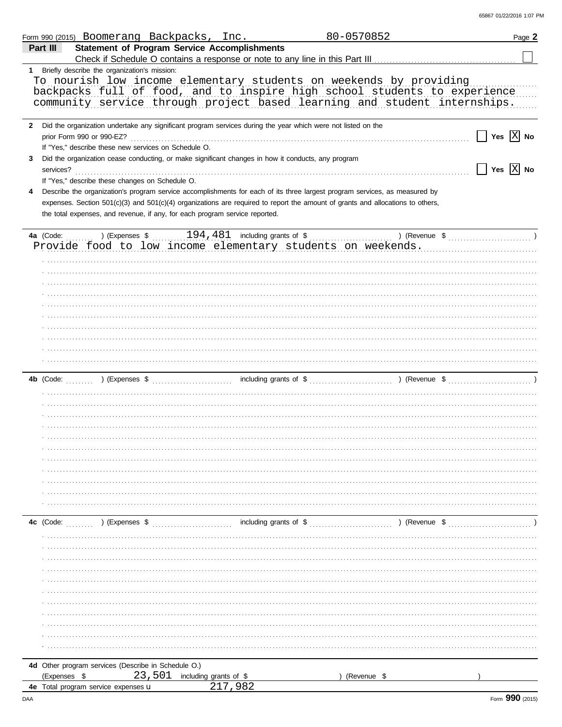|                   | Form 990 (2015) Boomerang Backpacks, Inc.                                   |                        | 80-0570852                                                                                                                                                                                                                                                   | Page 2                                                  |
|-------------------|-----------------------------------------------------------------------------|------------------------|--------------------------------------------------------------------------------------------------------------------------------------------------------------------------------------------------------------------------------------------------------------|---------------------------------------------------------|
| Part III          | <b>Statement of Program Service Accomplishments</b>                         |                        |                                                                                                                                                                                                                                                              |                                                         |
|                   | Briefly describe the organization's mission:                                |                        |                                                                                                                                                                                                                                                              |                                                         |
|                   |                                                                             |                        | To nourish low income elementary students on weekends by providing<br>backpacks full of food, and to inspire high school students to experience<br>community service through project based learning and student internships.                                 |                                                         |
| $\mathbf{2}$<br>3 | If "Yes," describe these new services on Schedule O.                        |                        | Did the organization undertake any significant program services during the year which were not listed on the<br>Did the organization cease conducting, or make significant changes in how it conducts, any program                                           | Yes $ X $ No                                            |
| services?         | If "Yes," describe these changes on Schedule O.                             |                        |                                                                                                                                                                                                                                                              | $\vert\ \vert$ Yes $\vert\overline{\mathrm{X}}\vert$ No |
| 4                 | the total expenses, and revenue, if any, for each program service reported. |                        | Describe the organization's program service accomplishments for each of its three largest program services, as measured by<br>expenses. Section 501(c)(3) and 501(c)(4) organizations are required to report the amount of grants and allocations to others, |                                                         |
|                   |                                                                             |                        |                                                                                                                                                                                                                                                              | ) (Revenue $\quad \$                                    |
|                   |                                                                             |                        | Provide food to low income elementary students on weekends.                                                                                                                                                                                                  |                                                         |
|                   |                                                                             |                        |                                                                                                                                                                                                                                                              |                                                         |
|                   |                                                                             |                        |                                                                                                                                                                                                                                                              |                                                         |
|                   |                                                                             |                        |                                                                                                                                                                                                                                                              |                                                         |
|                   |                                                                             |                        |                                                                                                                                                                                                                                                              |                                                         |
|                   |                                                                             |                        |                                                                                                                                                                                                                                                              |                                                         |
|                   |                                                                             |                        |                                                                                                                                                                                                                                                              |                                                         |
|                   |                                                                             |                        |                                                                                                                                                                                                                                                              |                                                         |
|                   |                                                                             |                        |                                                                                                                                                                                                                                                              |                                                         |
|                   |                                                                             |                        |                                                                                                                                                                                                                                                              |                                                         |
|                   |                                                                             |                        |                                                                                                                                                                                                                                                              |                                                         |
|                   |                                                                             |                        |                                                                                                                                                                                                                                                              |                                                         |
|                   | 4c (Code: ) (Expenses \$                                                    |                        | including grants of \$ (Revenue \$ ) (Revenue \$                                                                                                                                                                                                             |                                                         |
|                   |                                                                             |                        |                                                                                                                                                                                                                                                              |                                                         |
|                   |                                                                             |                        |                                                                                                                                                                                                                                                              |                                                         |
|                   |                                                                             |                        |                                                                                                                                                                                                                                                              |                                                         |
|                   |                                                                             |                        |                                                                                                                                                                                                                                                              |                                                         |
|                   |                                                                             |                        |                                                                                                                                                                                                                                                              |                                                         |
|                   |                                                                             |                        |                                                                                                                                                                                                                                                              |                                                         |
| (Expenses \$      | 4d Other program services (Describe in Schedule O.)<br>23,501               | including grants of \$ | (Revenue \$                                                                                                                                                                                                                                                  |                                                         |
|                   | 4e Total program service expenses <b>u</b>                                  | 217,982                |                                                                                                                                                                                                                                                              |                                                         |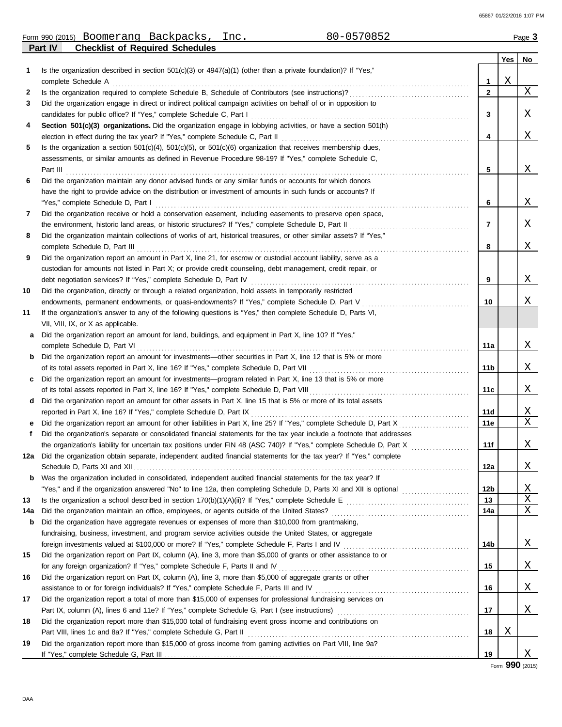| Form<br>990 (2015)<br>~ oomerangت<br>Inc.<br>Backpacks |  | Page |
|--------------------------------------------------------|--|------|
|--------------------------------------------------------|--|------|

|     | Part IV<br><b>Checklist of Required Schedules</b>                                                                                              |                 |     |              |
|-----|------------------------------------------------------------------------------------------------------------------------------------------------|-----------------|-----|--------------|
|     |                                                                                                                                                |                 | Yes | No           |
| 1.  | Is the organization described in section $501(c)(3)$ or $4947(a)(1)$ (other than a private foundation)? If "Yes,"                              |                 |     |              |
|     | complete Schedule A Material Complete Schedule A Material Complete Schedule A Material Complete Schedule A                                     | 1               | Χ   |              |
| 2   |                                                                                                                                                | $\overline{2}$  |     | X            |
| 3   | Did the organization engage in direct or indirect political campaign activities on behalf of or in opposition to                               |                 |     |              |
|     |                                                                                                                                                | 3               |     | Χ            |
| 4   | Section 501(c)(3) organizations. Did the organization engage in lobbying activities, or have a section 501(h)                                  |                 |     |              |
|     |                                                                                                                                                | 4               |     | Χ            |
| 5   | Is the organization a section $501(c)(4)$ , $501(c)(5)$ , or $501(c)(6)$ organization that receives membership dues,                           |                 |     |              |
|     | assessments, or similar amounts as defined in Revenue Procedure 98-19? If "Yes," complete Schedule C,                                          |                 |     |              |
|     |                                                                                                                                                | 5               |     | X            |
| 6   | Did the organization maintain any donor advised funds or any similar funds or accounts for which donors                                        |                 |     |              |
|     | have the right to provide advice on the distribution or investment of amounts in such funds or accounts? If                                    |                 |     |              |
|     |                                                                                                                                                | 6               |     | Χ            |
| 7   | Did the organization receive or hold a conservation easement, including easements to preserve open space,                                      |                 |     |              |
|     |                                                                                                                                                | 7               |     | X            |
| 8   | Did the organization maintain collections of works of art, historical treasures, or other similar assets? If "Yes,"                            |                 |     |              |
|     | complete Schedule D, Part III <b>Marting Complete Schedule D, Part III Marting Complete Schedule D</b> , Part III                              | 8               |     | Χ            |
| 9   | Did the organization report an amount in Part X, line 21, for escrow or custodial account liability, serve as a                                |                 |     |              |
|     | custodian for amounts not listed in Part X; or provide credit counseling, debt management, credit repair, or                                   |                 |     |              |
|     |                                                                                                                                                | 9               |     | X            |
| 10  | Did the organization, directly or through a related organization, hold assets in temporarily restricted                                        |                 |     | Χ            |
|     | endowments, permanent endowments, or quasi-endowments? If "Yes," complete Schedule D, Part V                                                   | 10              |     |              |
| 11  | If the organization's answer to any of the following questions is "Yes," then complete Schedule D, Parts VI,                                   |                 |     |              |
|     | VII, VIII, IX, or X as applicable.<br>a Did the organization report an amount for land, buildings, and equipment in Part X, line 10? If "Yes," |                 |     |              |
|     | complete Schedule D, Part VI                                                                                                                   | 11a             |     | X            |
| b   | Did the organization report an amount for investments—other securities in Part X, line 12 that is 5% or more                                   |                 |     |              |
|     |                                                                                                                                                | 11 <sub>b</sub> |     | Χ            |
| c   | Did the organization report an amount for investments—program related in Part X, line 13 that is 5% or more                                    |                 |     |              |
|     |                                                                                                                                                | 11c             |     | Χ            |
| d   | Did the organization report an amount for other assets in Part X, line 15 that is 5% or more of its total assets                               |                 |     |              |
|     | reported in Part X, line 16? If "Yes," complete Schedule D, Part IX [[CONDERGANDRETER PART]                                                    | 11d             |     | $\mathbf{X}$ |
|     |                                                                                                                                                | 11e             |     | X            |
| f   | Did the organization's separate or consolidated financial statements for the tax year include a footnote that addresses                        |                 |     |              |
|     |                                                                                                                                                | 11f             |     | Χ            |
|     | 12a Did the organization obtain separate, independent audited financial statements for the tax year? If "Yes," complete                        |                 |     |              |
|     |                                                                                                                                                | 12a             |     | Χ            |
|     | <b>b</b> Was the organization included in consolidated, independent audited financial statements for the tax year? If                          |                 |     |              |
|     |                                                                                                                                                | 12 <sub>b</sub> |     | X            |
| 13  |                                                                                                                                                | 13              |     | Χ            |
| 14a |                                                                                                                                                | 14a             |     | Χ            |
| b   | Did the organization have aggregate revenues or expenses of more than \$10,000 from grantmaking,                                               |                 |     |              |
|     | fundraising, business, investment, and program service activities outside the United States, or aggregate                                      |                 |     |              |
|     | foreign investments valued at \$100,000 or more? If "Yes," complete Schedule F, Parts I and IV [[[[[[[[[[[[[[[                                 | 14b             |     | Χ            |
| 15  | Did the organization report on Part IX, column (A), line 3, more than \$5,000 of grants or other assistance to or                              |                 |     |              |
|     |                                                                                                                                                | 15              |     | Χ            |
| 16  | Did the organization report on Part IX, column (A), line 3, more than \$5,000 of aggregate grants or other                                     |                 |     |              |
|     |                                                                                                                                                | 16              |     | Χ            |
| 17  | Did the organization report a total of more than \$15,000 of expenses for professional fundraising services on                                 |                 |     |              |
|     |                                                                                                                                                | 17              |     | Χ            |
| 18  | Did the organization report more than \$15,000 total of fundraising event gross income and contributions on                                    |                 |     |              |
|     |                                                                                                                                                | 18              | Χ   |              |
| 19  | Did the organization report more than \$15,000 of gross income from gaming activities on Part VIII, line 9a?                                   |                 |     |              |
|     |                                                                                                                                                | 19              |     | Χ            |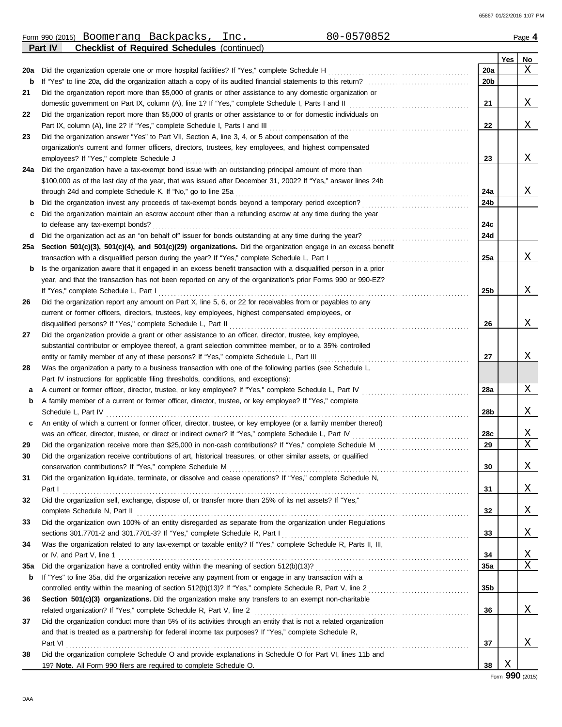|                                                               | 80-0570852<br>Form 990 (2015) Boomerang Backpacks,<br>Inc.                                                                                                                                                                     |                 |     | Page 4      |  |  |  |  |  |  |
|---------------------------------------------------------------|--------------------------------------------------------------------------------------------------------------------------------------------------------------------------------------------------------------------------------|-----------------|-----|-------------|--|--|--|--|--|--|
| Part IV<br><b>Checklist of Required Schedules (continued)</b> |                                                                                                                                                                                                                                |                 |     |             |  |  |  |  |  |  |
|                                                               |                                                                                                                                                                                                                                |                 | Yes | No          |  |  |  |  |  |  |
| 20a                                                           | Did the organization operate one or more hospital facilities? If "Yes," complete Schedule H                                                                                                                                    | 20a             |     | Χ           |  |  |  |  |  |  |
| b                                                             | If "Yes" to line 20a, did the organization attach a copy of its audited financial statements to this return?                                                                                                                   | 20 <sub>b</sub> |     |             |  |  |  |  |  |  |
| 21                                                            | Did the organization report more than \$5,000 of grants or other assistance to any domestic organization or                                                                                                                    |                 |     |             |  |  |  |  |  |  |
|                                                               | domestic government on Part IX, column (A), line 1? If "Yes," complete Schedule I, Parts I and II                                                                                                                              | 21              |     | Χ           |  |  |  |  |  |  |
| 22                                                            | Did the organization report more than \$5,000 of grants or other assistance to or for domestic individuals on                                                                                                                  |                 |     |             |  |  |  |  |  |  |
|                                                               | Part IX, column (A), line 2? If "Yes," complete Schedule I, Parts I and III                                                                                                                                                    | 22              |     | Χ           |  |  |  |  |  |  |
| 23                                                            | Did the organization answer "Yes" to Part VII, Section A, line 3, 4, or 5 about compensation of the                                                                                                                            |                 |     |             |  |  |  |  |  |  |
|                                                               | organization's current and former officers, directors, trustees, key employees, and highest compensated                                                                                                                        |                 |     |             |  |  |  |  |  |  |
|                                                               | employees? If "Yes," complete Schedule J                                                                                                                                                                                       | 23              |     | Χ           |  |  |  |  |  |  |
| 24a                                                           | Did the organization have a tax-exempt bond issue with an outstanding principal amount of more than                                                                                                                            |                 |     |             |  |  |  |  |  |  |
|                                                               | \$100,000 as of the last day of the year, that was issued after December 31, 2002? If "Yes," answer lines 24b                                                                                                                  |                 |     |             |  |  |  |  |  |  |
|                                                               | through 24d and complete Schedule K. If "No," go to line 25a                                                                                                                                                                   | 24a             |     | Χ           |  |  |  |  |  |  |
| b                                                             | Did the organization invest any proceeds of tax-exempt bonds beyond a temporary period exception?                                                                                                                              | 24b             |     |             |  |  |  |  |  |  |
| c                                                             | Did the organization maintain an escrow account other than a refunding escrow at any time during the year                                                                                                                      |                 |     |             |  |  |  |  |  |  |
|                                                               | to defease any tax-exempt bonds?                                                                                                                                                                                               | 24c             |     |             |  |  |  |  |  |  |
| d                                                             |                                                                                                                                                                                                                                | 24d             |     |             |  |  |  |  |  |  |
| 25a                                                           | Section 501(c)(3), 501(c)(4), and 501(c)(29) organizations. Did the organization engage in an excess benefit                                                                                                                   |                 |     |             |  |  |  |  |  |  |
|                                                               | transaction with a disqualified person during the year? If "Yes," complete Schedule L, Part I                                                                                                                                  | 25a             |     | Χ           |  |  |  |  |  |  |
| b                                                             | Is the organization aware that it engaged in an excess benefit transaction with a disqualified person in a prior                                                                                                               |                 |     |             |  |  |  |  |  |  |
|                                                               | year, and that the transaction has not been reported on any of the organization's prior Forms 990 or 990-EZ?                                                                                                                   |                 |     |             |  |  |  |  |  |  |
|                                                               | If "Yes," complete Schedule L, Part I                                                                                                                                                                                          | 25 <sub>b</sub> |     | Χ           |  |  |  |  |  |  |
| 26                                                            | Did the organization report any amount on Part X, line 5, 6, or 22 for receivables from or payables to any                                                                                                                     |                 |     |             |  |  |  |  |  |  |
|                                                               | current or former officers, directors, trustees, key employees, highest compensated employees, or                                                                                                                              |                 |     |             |  |  |  |  |  |  |
|                                                               | disqualified persons? If "Yes," complete Schedule L, Part II                                                                                                                                                                   | 26              |     | Χ           |  |  |  |  |  |  |
| 27                                                            | Did the organization provide a grant or other assistance to an officer, director, trustee, key employee,                                                                                                                       |                 |     |             |  |  |  |  |  |  |
|                                                               | substantial contributor or employee thereof, a grant selection committee member, or to a 35% controlled                                                                                                                        |                 |     |             |  |  |  |  |  |  |
|                                                               | entity or family member of any of these persons? If "Yes," complete Schedule L, Part III                                                                                                                                       | 27              |     | Χ           |  |  |  |  |  |  |
| 28                                                            | Was the organization a party to a business transaction with one of the following parties (see Schedule L,                                                                                                                      |                 |     |             |  |  |  |  |  |  |
|                                                               | Part IV instructions for applicable filing thresholds, conditions, and exceptions):                                                                                                                                            |                 |     |             |  |  |  |  |  |  |
| а                                                             | A current or former officer, director, trustee, or key employee? If "Yes," complete Schedule L, Part IV                                                                                                                        | 28a             |     | Χ           |  |  |  |  |  |  |
| b                                                             | A family member of a current or former officer, director, trustee, or key employee? If "Yes," complete                                                                                                                         |                 |     |             |  |  |  |  |  |  |
|                                                               | Schedule L, Part IV                                                                                                                                                                                                            | 28 <sub>b</sub> |     | Χ           |  |  |  |  |  |  |
| c                                                             | An entity of which a current or former officer, director, trustee, or key employee (or a family member thereof)                                                                                                                |                 |     |             |  |  |  |  |  |  |
|                                                               | was an officer, director, trustee, or direct or indirect owner? If "Yes," complete Schedule L, Part IV                                                                                                                         | 28c             |     | Χ           |  |  |  |  |  |  |
| 29                                                            |                                                                                                                                                                                                                                | 29              |     | $\mathbf X$ |  |  |  |  |  |  |
| 30                                                            | Did the organization receive contributions of art, historical treasures, or other similar assets, or qualified                                                                                                                 |                 |     |             |  |  |  |  |  |  |
|                                                               | conservation contributions? If "Yes," complete Schedule M                                                                                                                                                                      | 30              |     | Χ           |  |  |  |  |  |  |
| 31                                                            | Did the organization liquidate, terminate, or dissolve and cease operations? If "Yes," complete Schedule N,                                                                                                                    |                 |     |             |  |  |  |  |  |  |
|                                                               | Part I                                                                                                                                                                                                                         | 31              |     | Χ           |  |  |  |  |  |  |
| 32                                                            | Did the organization sell, exchange, dispose of, or transfer more than 25% of its net assets? If "Yes,"                                                                                                                        |                 |     |             |  |  |  |  |  |  |
|                                                               | complete Schedule N, Part II (1992) (2008) (2009) (2009) (2019) (2019) (2019) (2019) (2019) (2019) (2019) (2019) (2019) (2019) (2019) (2019) (2019) (2019) (2019) (2019) (2019) (2019) (2019) (2019) (2019) (2019) (2019) (201 | 32              |     | Χ           |  |  |  |  |  |  |
| 33                                                            | Did the organization own 100% of an entity disregarded as separate from the organization under Regulations                                                                                                                     |                 |     |             |  |  |  |  |  |  |
|                                                               |                                                                                                                                                                                                                                | 33              |     | Χ           |  |  |  |  |  |  |
| 34                                                            | Was the organization related to any tax-exempt or taxable entity? If "Yes," complete Schedule R, Parts II, III,                                                                                                                |                 |     |             |  |  |  |  |  |  |
|                                                               | or IV, and Part V, line 1                                                                                                                                                                                                      | 34              |     | Χ           |  |  |  |  |  |  |
| 35a                                                           |                                                                                                                                                                                                                                | <b>35a</b>      |     | Χ           |  |  |  |  |  |  |
| b                                                             | If "Yes" to line 35a, did the organization receive any payment from or engage in any transaction with a                                                                                                                        |                 |     |             |  |  |  |  |  |  |
|                                                               |                                                                                                                                                                                                                                | 35 <sub>b</sub> |     |             |  |  |  |  |  |  |
| 36                                                            | Section 501(c)(3) organizations. Did the organization make any transfers to an exempt non-charitable                                                                                                                           |                 |     |             |  |  |  |  |  |  |
|                                                               | related organization? If "Yes," complete Schedule R, Part V, line 2                                                                                                                                                            | 36              |     | Χ           |  |  |  |  |  |  |
| 37                                                            | Did the organization conduct more than 5% of its activities through an entity that is not a related organization                                                                                                               |                 |     |             |  |  |  |  |  |  |
|                                                               | and that is treated as a partnership for federal income tax purposes? If "Yes," complete Schedule R,                                                                                                                           |                 |     |             |  |  |  |  |  |  |
|                                                               | Part VI                                                                                                                                                                                                                        | 37              |     | Χ           |  |  |  |  |  |  |
| 38                                                            | Did the organization complete Schedule O and provide explanations in Schedule O for Part VI, lines 11b and                                                                                                                     |                 |     |             |  |  |  |  |  |  |
|                                                               | 19? Note. All Form 990 filers are required to complete Schedule O.                                                                                                                                                             | 38              | Χ   |             |  |  |  |  |  |  |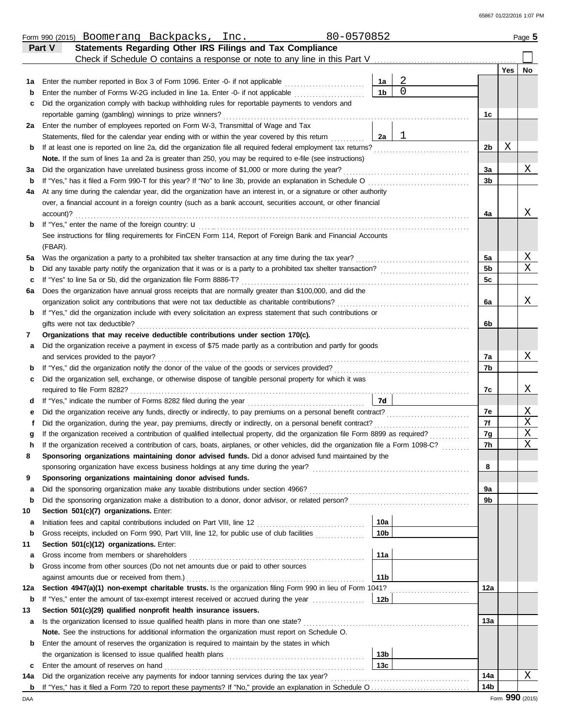|     | 80-0570852<br>Form 990 (2015) Boomerang Backpacks, Inc.                                                                                                                                                            |                |     | Page 5         |
|-----|--------------------------------------------------------------------------------------------------------------------------------------------------------------------------------------------------------------------|----------------|-----|----------------|
|     | Statements Regarding Other IRS Filings and Tax Compliance<br>Part V                                                                                                                                                |                |     |                |
|     | Check if Schedule O contains a response or note to any line in this Part V                                                                                                                                         |                |     |                |
|     |                                                                                                                                                                                                                    |                | Yes | No             |
| 1a  | $\boldsymbol{2}$<br>1a<br>Enter the number reported in Box 3 of Form 1096. Enter -0- if not applicable                                                                                                             |                |     |                |
| b   | $\Omega$<br>1 <sub>b</sub><br>Enter the number of Forms W-2G included in line 1a. Enter -0- if not applicable                                                                                                      |                |     |                |
| c   | Did the organization comply with backup withholding rules for reportable payments to vendors and                                                                                                                   |                |     |                |
|     | reportable gaming (gambling) winnings to prize winners?                                                                                                                                                            | 1c             |     |                |
| 2a  | Enter the number of employees reported on Form W-3, Transmittal of Wage and Tax                                                                                                                                    |                |     |                |
|     | - 1<br>Statements, filed for the calendar year ending with or within the year covered by this return<br>2a                                                                                                         |                |     |                |
| b   | If at least one is reported on line 2a, did the organization file all required federal employment tax returns?                                                                                                     | 2 <sub>b</sub> | Χ   |                |
|     | Note. If the sum of lines 1a and 2a is greater than 250, you may be required to e-file (see instructions)                                                                                                          |                |     |                |
| За  | Did the organization have unrelated business gross income of \$1,000 or more during the year?                                                                                                                      | За             |     | Χ              |
| b   | If "Yes," has it filed a Form 990-T for this year? If "No" to line 3b, provide an explanation in Schedule O                                                                                                        | 3 <sub>b</sub> |     |                |
| 4a  | At any time during the calendar year, did the organization have an interest in, or a signature or other authority                                                                                                  |                |     |                |
|     | over, a financial account in a foreign country (such as a bank account, securities account, or other financial                                                                                                     |                |     |                |
|     | account)?                                                                                                                                                                                                          | 4a             |     | Χ              |
| b   | If "Yes," enter the name of the foreign country: u                                                                                                                                                                 |                |     |                |
|     | See instructions for filing requirements for FinCEN Form 114, Report of Foreign Bank and Financial Accounts                                                                                                        |                |     |                |
|     | (FBAR).                                                                                                                                                                                                            |                |     |                |
| 5a  | Was the organization a party to a prohibited tax shelter transaction at any time during the tax year?                                                                                                              | 5a             |     | <u>X</u><br>X  |
| b   |                                                                                                                                                                                                                    | 5b             |     |                |
| c   | If "Yes" to line 5a or 5b, did the organization file Form 8886-T?                                                                                                                                                  | 5 <sub>c</sub> |     |                |
| 6а  | Does the organization have annual gross receipts that are normally greater than \$100,000, and did the                                                                                                             |                |     | Χ              |
|     | organization solicit any contributions that were not tax deductible as charitable contributions?<br>If "Yes," did the organization include with every solicitation an express statement that such contributions or | 6a             |     |                |
| b   |                                                                                                                                                                                                                    | 6b             |     |                |
| 7   | gifts were not tax deductible?<br>Organizations that may receive deductible contributions under section 170(c).                                                                                                    |                |     |                |
| а   | Did the organization receive a payment in excess of \$75 made partly as a contribution and partly for goods                                                                                                        |                |     |                |
|     | and services provided to the payor?                                                                                                                                                                                | 7a             |     | Χ              |
| b   |                                                                                                                                                                                                                    | 7b             |     |                |
| c   | Did the organization sell, exchange, or otherwise dispose of tangible personal property for which it was                                                                                                           |                |     |                |
|     |                                                                                                                                                                                                                    | 7c             |     | Χ              |
| d   | <b>7d</b>                                                                                                                                                                                                          |                |     |                |
| е   |                                                                                                                                                                                                                    | 7e             |     | Χ              |
|     |                                                                                                                                                                                                                    | 7f             |     | X              |
|     |                                                                                                                                                                                                                    | 7g             |     | $\mathbf X$    |
| h   | If the organization received a contribution of cars, boats, airplanes, or other vehicles, did the organization file a Form 1098-C?                                                                                 | 7h             |     | $\overline{X}$ |
| 8   | Sponsoring organizations maintaining donor advised funds. Did a donor advised fund maintained by the                                                                                                               |                |     |                |
|     | sponsoring organization have excess business holdings at any time during the year?                                                                                                                                 | 8              |     |                |
| 9   | Sponsoring organizations maintaining donor advised funds.                                                                                                                                                          |                |     |                |
| а   | Did the sponsoring organization make any taxable distributions under section 4966?                                                                                                                                 | 9a             |     |                |
| b   |                                                                                                                                                                                                                    | 9b             |     |                |
| 10  | Section 501(c)(7) organizations. Enter:                                                                                                                                                                            |                |     |                |
| а   | 10a                                                                                                                                                                                                                |                |     |                |
| b   | 10b<br>Gross receipts, included on Form 990, Part VIII, line 12, for public use of club facilities                                                                                                                 |                |     |                |
| 11  | Section 501(c)(12) organizations. Enter:                                                                                                                                                                           |                |     |                |
| а   | 11a<br>Gross income from members or shareholders                                                                                                                                                                   |                |     |                |
| b   | Gross income from other sources (Do not net amounts due or paid to other sources                                                                                                                                   |                |     |                |
|     | 11 <sub>b</sub><br>against amounts due or received from them.)                                                                                                                                                     |                |     |                |
| 12a | Section 4947(a)(1) non-exempt charitable trusts. Is the organization filing Form 990 in lieu of Form 1041?                                                                                                         | 12a            |     |                |
| b   | If "Yes," enter the amount of tax-exempt interest received or accrued during the year<br>12b                                                                                                                       |                |     |                |
| 13  | Section 501(c)(29) qualified nonprofit health insurance issuers.                                                                                                                                                   |                |     |                |
| а   | Is the organization licensed to issue qualified health plans in more than one state?                                                                                                                               | 13a            |     |                |
|     | Note. See the instructions for additional information the organization must report on Schedule O.                                                                                                                  |                |     |                |
| b   | Enter the amount of reserves the organization is required to maintain by the states in which                                                                                                                       |                |     |                |
|     | 13 <sub>b</sub>                                                                                                                                                                                                    |                |     |                |
| c   | 13 <sub>c</sub><br>Enter the amount of reserves on hand                                                                                                                                                            |                |     |                |
| 14a | Did the organization receive any payments for indoor tanning services during the tax year?                                                                                                                         | 14a            |     | Χ              |
| b   |                                                                                                                                                                                                                    | 14b            |     |                |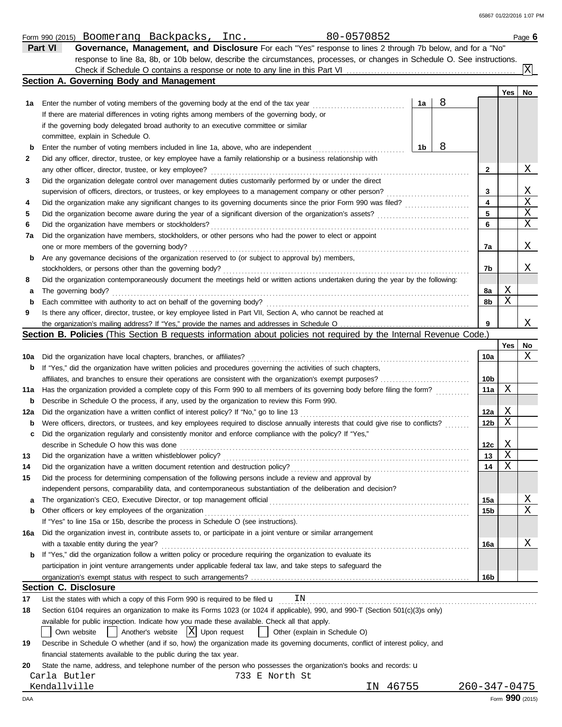|     | Part VI<br>Governance, Management, and Disclosure For each "Yes" response to lines 2 through 7b below, and for a "No"               |    |   |                    |     |                       |
|-----|-------------------------------------------------------------------------------------------------------------------------------------|----|---|--------------------|-----|-----------------------|
|     | response to line 8a, 8b, or 10b below, describe the circumstances, processes, or changes in Schedule O. See instructions.           |    |   |                    |     |                       |
|     |                                                                                                                                     |    |   |                    |     | x                     |
|     | Section A. Governing Body and Management                                                                                            |    |   |                    |     |                       |
|     |                                                                                                                                     |    |   |                    | Yes | No                    |
| 1a  | Enter the number of voting members of the governing body at the end of the tax year                                                 | 1a | 8 |                    |     |                       |
|     | If there are material differences in voting rights among members of the governing body, or                                          |    |   |                    |     |                       |
|     | if the governing body delegated broad authority to an executive committee or similar                                                |    |   |                    |     |                       |
|     | committee, explain in Schedule O.                                                                                                   |    |   |                    |     |                       |
| b   | Enter the number of voting members included in line 1a, above, who are independent                                                  | 1b | 8 |                    |     |                       |
| 2   | Did any officer, director, trustee, or key employee have a family relationship or a business relationship with                      |    |   |                    |     |                       |
|     | any other officer, director, trustee, or key employee?                                                                              |    |   | 2                  |     | Χ                     |
| 3   | Did the organization delegate control over management duties customarily performed by or under the direct                           |    |   |                    |     |                       |
|     | supervision of officers, directors, or trustees, or key employees to a management company or other person?                          |    |   | 3                  |     | Χ                     |
| 4   |                                                                                                                                     |    |   | 4                  |     | $\overline{\text{X}}$ |
| 5   |                                                                                                                                     |    |   | 5                  |     | $\mathbf X$           |
| 6   | Did the organization have members or stockholders?                                                                                  |    |   | 6                  |     | $\mathbf X$           |
| 7a  | Did the organization have members, stockholders, or other persons who had the power to elect or appoint                             |    |   |                    |     |                       |
|     | one or more members of the governing body?                                                                                          |    |   | 7a                 |     | Χ                     |
| b   | Are any governance decisions of the organization reserved to (or subject to approval by) members,                                   |    |   |                    |     |                       |
|     | stockholders, or persons other than the governing body?                                                                             |    |   | 7b                 |     | X                     |
| 8   | Did the organization contemporaneously document the meetings held or written actions undertaken during the year by the following:   |    |   |                    |     |                       |
| а   | The governing body?                                                                                                                 |    |   | 8а                 | Χ   |                       |
| b   | Each committee with authority to act on behalf of the governing body?                                                               |    |   | 8b                 | Χ   |                       |
| 9   | Is there any officer, director, trustee, or key employee listed in Part VII, Section A, who cannot be reached at                    |    |   |                    |     |                       |
|     |                                                                                                                                     |    |   | 9                  |     | Χ                     |
|     | Section B. Policies (This Section B requests information about policies not required by the Internal Revenue Code.)                 |    |   |                    |     |                       |
|     |                                                                                                                                     |    |   |                    | Yes | No                    |
| 10a | Did the organization have local chapters, branches, or affiliates?                                                                  |    |   | 10a                |     | Χ                     |
| b   | If "Yes," did the organization have written policies and procedures governing the activities of such chapters,                      |    |   |                    |     |                       |
|     |                                                                                                                                     |    |   | 10 <sub>b</sub>    |     |                       |
| 11a | Has the organization provided a complete copy of this Form 990 to all members of its governing body before filing the form?         |    |   | 11a                | Χ   |                       |
| b   | Describe in Schedule O the process, if any, used by the organization to review this Form 990.                                       |    |   |                    |     |                       |
| 12a | Did the organization have a written conflict of interest policy? If "No," go to line 13                                             |    |   | 12a                | Χ   |                       |
| b   | Were officers, directors, or trustees, and key employees required to disclose annually interests that could give rise to conflicts? |    |   | 12 <sub>b</sub>    | Χ   |                       |
| c   | Did the organization regularly and consistently monitor and enforce compliance with the policy? If "Yes,"                           |    |   |                    |     |                       |
|     | describe in Schedule O how this was done                                                                                            |    |   | 12c                | Χ   |                       |
|     | Did the organization have a written whistleblower policy?                                                                           |    |   | 13                 | X   |                       |
| 14  |                                                                                                                                     |    |   | 14                 | Χ   |                       |
| 15  | Did the process for determining compensation of the following persons include a review and approval by                              |    |   |                    |     |                       |
|     | independent persons, comparability data, and contemporaneous substantiation of the deliberation and decision?                       |    |   |                    |     |                       |
| а   |                                                                                                                                     |    |   | 15a                |     | <u>X</u>              |
| b   | Other officers or key employees of the organization                                                                                 |    |   | 15b                |     | $\mathbf X$           |
|     | If "Yes" to line 15a or 15b, describe the process in Schedule O (see instructions).                                                 |    |   |                    |     |                       |
| 16a | Did the organization invest in, contribute assets to, or participate in a joint venture or similar arrangement                      |    |   |                    |     |                       |
|     | with a taxable entity during the year?                                                                                              |    |   | 16a                |     | Χ                     |
| b   | If "Yes," did the organization follow a written policy or procedure requiring the organization to evaluate its                      |    |   |                    |     |                       |
|     | participation in joint venture arrangements under applicable federal tax law, and take steps to safeguard the                       |    |   |                    |     |                       |
|     |                                                                                                                                     |    |   | 16b                |     |                       |
|     | <b>Section C. Disclosure</b>                                                                                                        |    |   |                    |     |                       |
| 17  | List the states with which a copy of this Form 990 is required to be filed $\mathbf{u}$ IN                                          |    |   |                    |     |                       |
| 18  | Section 6104 requires an organization to make its Forms 1023 (or 1024 if applicable), 990, and 990-T (Section 501(c)(3)s only)      |    |   |                    |     |                       |
|     | available for public inspection. Indicate how you made these available. Check all that apply.                                       |    |   |                    |     |                       |
|     | Another's website $ X $ Upon request<br>Other (explain in Schedule O)<br>Own website<br>$\mathbf{1}$                                |    |   |                    |     |                       |
| 19  | Describe in Schedule O whether (and if so, how) the organization made its governing documents, conflict of interest policy, and     |    |   |                    |     |                       |
|     | financial statements available to the public during the tax year.                                                                   |    |   |                    |     |                       |
| 20  | State the name, address, and telephone number of the person who possesses the organization's books and records: u                   |    |   |                    |     |                       |
|     | Carla Butler<br>733 E North St                                                                                                      |    |   |                    |     |                       |
|     | Kendallville<br>IN 46755                                                                                                            |    |   | $260 - 347 - 0475$ |     |                       |
| DAA |                                                                                                                                     |    |   |                    |     | Form 990 (2015)       |

Form 990 (2015) Page **6**

Boomerang Backpacks, Inc. 180-0570852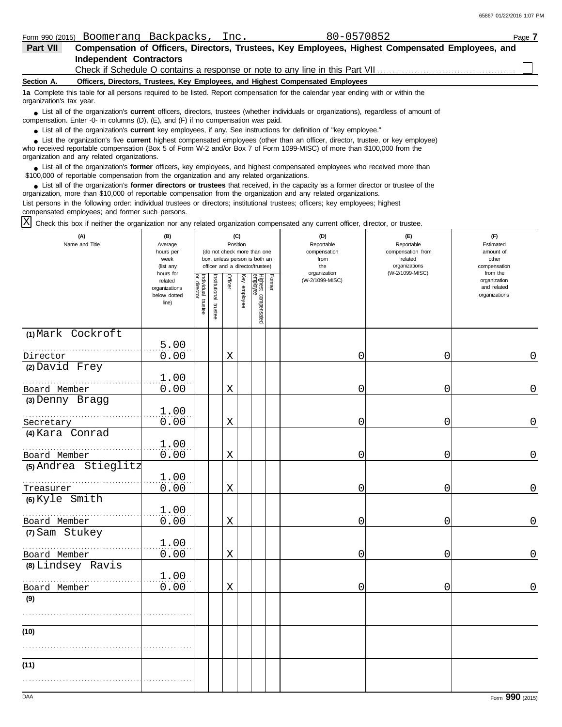|                          | Form 990 (2015) Boomerang Backpacks,<br>Inc.                                                                                                                                                                                       | 80-0570852 | Page 7 |
|--------------------------|------------------------------------------------------------------------------------------------------------------------------------------------------------------------------------------------------------------------------------|------------|--------|
| Part VII                 | Compensation of Officers, Directors, Trustees, Key Employees, Highest Compensated Employees, and                                                                                                                                   |            |        |
|                          | Independent Contractors                                                                                                                                                                                                            |            |        |
|                          |                                                                                                                                                                                                                                    |            |        |
| Section A.               | Officers, Directors, Trustees, Key Employees, and Highest Compensated Employees                                                                                                                                                    |            |        |
| organization's tax year. | 1a Complete this table for all persons required to be listed. Report compensation for the calendar year ending with or within the                                                                                                  |            |        |
|                          | • List all of the organization's <b>current</b> officers, directors, trustees (whether individuals or organizations), regardless of amount of<br>compensation. Enter -0- in columns (D), (E), and (F) if no compensation was paid. |            |        |

● List all of the organization's **current** key employees, if any. See instructions for definition of "key employee."

who received reportable compensation (Box 5 of Form W-2 and/or Box 7 of Form 1099-MISC) of more than \$100,000 from the organization and any related organizations. ■ List the organization's five **current** highest compensated employees (other than an officer, director, trustee, or key employee)<br> **•** Pregiund reportable compensation (Box 5 of Ferm W 2 and/or Box 7 of Ferm 1000 MISC) o

■ List all of the organization's **former** officers, key employees, and highest compensated employees who received more than<br> **•** 00.000 of reportable compensation from the examization and any related examizations \$100,000 of reportable compensation from the organization and any related organizations.

■ List all of the organization's **former directors or trustees** that received, in the capacity as a former director or trustee of the practization more than \$10,000 of reportable compensation from the organization and any organization, more than \$10,000 of reportable compensation from the organization and any related organizations. List persons in the following order: individual trustees or directors; institutional trustees; officers; key employees; highest compensated employees; and former such persons.

 $\overline{X}$  Check this box if neither the organization nor any related organization compensated any current officer, director, or trustee.

| (A)<br>Name and Title      | (B)<br>Average<br>hours per<br>week<br>(list any               | (C)<br>Position<br>(do not check more than one<br>box, unless person is both an<br>officer and a director/trustee) |                       |             |              |                                 |        | (D)<br>Reportable<br>compensation<br>from<br>the | (E)<br>Reportable<br>compensation from<br>related<br>organizations | (F)<br>Estimated<br>amount of<br>other<br>compensation<br>from the |  |
|----------------------------|----------------------------------------------------------------|--------------------------------------------------------------------------------------------------------------------|-----------------------|-------------|--------------|---------------------------------|--------|--------------------------------------------------|--------------------------------------------------------------------|--------------------------------------------------------------------|--|
|                            | hours for<br>related<br>organizations<br>below dotted<br>line) | Individual trustee<br>or director                                                                                  | Institutional trustee | Officer     | Key employee | Highest compensated<br>employee | Former | organization<br>(W-2/1099-MISC)                  | (W-2/1099-MISC)                                                    | organization<br>and related<br>organizations                       |  |
| (1) Mark Cockroft          | 5.00                                                           |                                                                                                                    |                       |             |              |                                 |        |                                                  |                                                                    |                                                                    |  |
| Director<br>(2) David Frey | 0.00                                                           |                                                                                                                    |                       | $\rm X$     |              |                                 |        | 0                                                | 0                                                                  | 0                                                                  |  |
| Board Member               | 1.00<br>0.00                                                   |                                                                                                                    |                       | X           |              |                                 |        | 0                                                | 0                                                                  | 0                                                                  |  |
| (3) Denny Bragg            |                                                                |                                                                                                                    |                       |             |              |                                 |        |                                                  |                                                                    |                                                                    |  |
| Secretary                  | 1.00<br>0.00                                                   |                                                                                                                    |                       | X           |              |                                 |        | 0                                                | 0                                                                  | $\mathbf 0$                                                        |  |
| (4) Kara Conrad            |                                                                |                                                                                                                    |                       |             |              |                                 |        |                                                  |                                                                    |                                                                    |  |
| Board Member               | 1.00<br>0.00                                                   |                                                                                                                    |                       | X           |              |                                 |        | 0                                                | 0                                                                  | 0                                                                  |  |
| (5) Andrea Stieglitz       |                                                                |                                                                                                                    |                       |             |              |                                 |        |                                                  |                                                                    |                                                                    |  |
| Treasurer                  | 1.00<br>0.00                                                   |                                                                                                                    |                       | $\mathbf X$ |              |                                 |        | 0                                                | 0                                                                  | $\mathsf{O}\xspace$                                                |  |
| (6) Kyle Smith             |                                                                |                                                                                                                    |                       |             |              |                                 |        |                                                  |                                                                    |                                                                    |  |
| Board Member               | 1.00<br>0.00                                                   |                                                                                                                    |                       | Χ           |              |                                 |        | 0                                                | 0                                                                  | $\mathbf 0$                                                        |  |
| (7) Sam Stukey             |                                                                |                                                                                                                    |                       |             |              |                                 |        |                                                  |                                                                    |                                                                    |  |
| Board Member               | 1.00<br>0.00                                                   |                                                                                                                    |                       | $\mathbf X$ |              |                                 |        | 0                                                | 0                                                                  | $\mathsf{O}\xspace$                                                |  |
| (8) Lindsey Ravis          | 1.00                                                           |                                                                                                                    |                       |             |              |                                 |        |                                                  |                                                                    |                                                                    |  |
| Board Member               | 0.00                                                           |                                                                                                                    |                       | Χ           |              |                                 |        | 0                                                | 0                                                                  | $\overline{0}$                                                     |  |
| (9)                        |                                                                |                                                                                                                    |                       |             |              |                                 |        |                                                  |                                                                    |                                                                    |  |
|                            |                                                                |                                                                                                                    |                       |             |              |                                 |        |                                                  |                                                                    |                                                                    |  |
| (10)                       |                                                                |                                                                                                                    |                       |             |              |                                 |        |                                                  |                                                                    |                                                                    |  |
|                            |                                                                |                                                                                                                    |                       |             |              |                                 |        |                                                  |                                                                    |                                                                    |  |
| (11)                       |                                                                |                                                                                                                    |                       |             |              |                                 |        |                                                  |                                                                    |                                                                    |  |
|                            |                                                                |                                                                                                                    |                       |             |              |                                 |        |                                                  |                                                                    |                                                                    |  |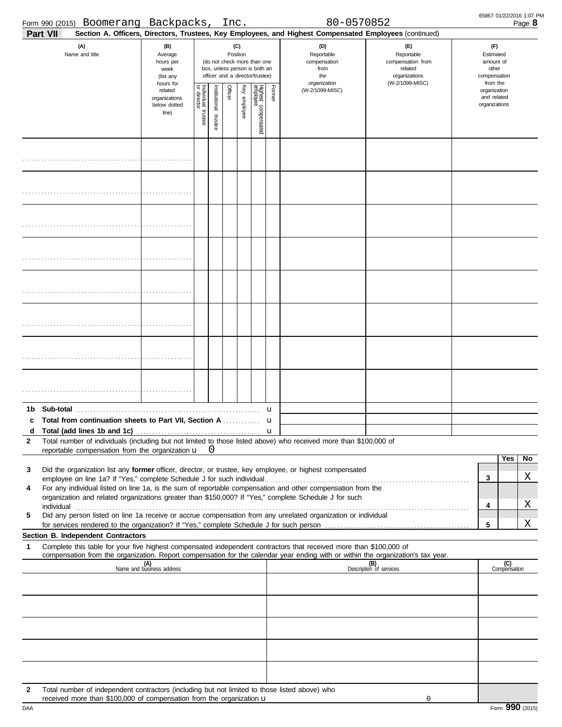| Form 990 (2015) Boomerang Backpacks, Inc.                                                                                                                                                                                                                                                                   |                                                                |                                      |                          |         |                                                                                                                    |                                 |                        | 80-0570852                                                                                             |                                                                                                                                                                                                                                |                                                                    | 65867 01/22/2016 1:07 PM<br>Page 8 |
|-------------------------------------------------------------------------------------------------------------------------------------------------------------------------------------------------------------------------------------------------------------------------------------------------------------|----------------------------------------------------------------|--------------------------------------|--------------------------|---------|--------------------------------------------------------------------------------------------------------------------|---------------------------------|------------------------|--------------------------------------------------------------------------------------------------------|--------------------------------------------------------------------------------------------------------------------------------------------------------------------------------------------------------------------------------|--------------------------------------------------------------------|------------------------------------|
| Part VII                                                                                                                                                                                                                                                                                                    |                                                                |                                      |                          |         |                                                                                                                    |                                 |                        | Section A. Officers, Directors, Trustees, Key Employees, and Highest Compensated Employees (continued) |                                                                                                                                                                                                                                |                                                                    |                                    |
| (A)<br>Name and title                                                                                                                                                                                                                                                                                       | (B)<br>Average<br>hours per<br>week<br>(list any               |                                      |                          |         | (C)<br>Position<br>(do not check more than one<br>box, unless person is both an<br>officer and a director/trustee) |                                 |                        | (D)<br>Reportable<br>compensation<br>from<br>the<br>organization                                       | (E)<br>Reportable<br>compensation from<br>related<br>organizations<br>(W-2/1099-MISC)                                                                                                                                          | (F)<br>Estimated<br>amount of<br>other<br>compensation<br>from the |                                    |
|                                                                                                                                                                                                                                                                                                             | hours for<br>related<br>organizations<br>below dotted<br>line) | Individual<br>or director<br>trustee | Institutional<br>trustee | Officer | Ķey<br>employee                                                                                                    | Highest compensated<br>employee | Former                 | (W-2/1099-MISC)                                                                                        |                                                                                                                                                                                                                                | organization<br>and related<br>organizations                       |                                    |
|                                                                                                                                                                                                                                                                                                             |                                                                |                                      |                          |         |                                                                                                                    |                                 |                        |                                                                                                        |                                                                                                                                                                                                                                |                                                                    |                                    |
|                                                                                                                                                                                                                                                                                                             |                                                                |                                      |                          |         |                                                                                                                    |                                 |                        |                                                                                                        |                                                                                                                                                                                                                                |                                                                    |                                    |
|                                                                                                                                                                                                                                                                                                             |                                                                |                                      |                          |         |                                                                                                                    |                                 |                        |                                                                                                        |                                                                                                                                                                                                                                |                                                                    |                                    |
|                                                                                                                                                                                                                                                                                                             |                                                                |                                      |                          |         |                                                                                                                    |                                 |                        |                                                                                                        |                                                                                                                                                                                                                                |                                                                    |                                    |
|                                                                                                                                                                                                                                                                                                             |                                                                |                                      |                          |         |                                                                                                                    |                                 |                        |                                                                                                        |                                                                                                                                                                                                                                |                                                                    |                                    |
|                                                                                                                                                                                                                                                                                                             |                                                                |                                      |                          |         |                                                                                                                    |                                 |                        |                                                                                                        |                                                                                                                                                                                                                                |                                                                    |                                    |
|                                                                                                                                                                                                                                                                                                             |                                                                |                                      |                          |         |                                                                                                                    |                                 |                        |                                                                                                        |                                                                                                                                                                                                                                |                                                                    |                                    |
|                                                                                                                                                                                                                                                                                                             |                                                                |                                      |                          |         |                                                                                                                    |                                 |                        |                                                                                                        |                                                                                                                                                                                                                                |                                                                    |                                    |
| c Total from continuation sheets to Part VII, Section A<br>d                                                                                                                                                                                                                                                |                                                                |                                      |                          |         |                                                                                                                    |                                 | u<br>u<br>$\mathbf{u}$ |                                                                                                        |                                                                                                                                                                                                                                |                                                                    |                                    |
| Total number of individuals (including but not limited to those listed above) who received more than \$100,000 of<br>$\mathbf{2}$<br>reportable compensation from the organization $\mathbf{u}$ $\mathbf{0}$                                                                                                |                                                                |                                      |                          |         |                                                                                                                    |                                 |                        |                                                                                                        |                                                                                                                                                                                                                                |                                                                    |                                    |
| Did the organization list any former officer, director, or trustee, key employee, or highest compensated<br>3<br>employee on line 1a? If "Yes," complete Schedule J for such individual<br>For any individual listed on line 1a, is the sum of reportable compensation and other compensation from the<br>4 |                                                                |                                      |                          |         |                                                                                                                    |                                 |                        |                                                                                                        |                                                                                                                                                                                                                                | 3                                                                  | Yes<br>No<br>Χ                     |
| organization and related organizations greater than \$150,000? If "Yes," complete Schedule J for such<br>Did any person listed on line 1a receive or accrue compensation from any unrelated organization or individual<br>5                                                                                 |                                                                |                                      |                          |         |                                                                                                                    |                                 |                        |                                                                                                        | individual with the contract of the contract of the contract of the contract of the contract of the contract of the contract of the contract of the contract of the contract of the contract of the contract of the contract o | 4                                                                  | Χ                                  |
| Section B. Independent Contractors                                                                                                                                                                                                                                                                          |                                                                |                                      |                          |         |                                                                                                                    |                                 |                        |                                                                                                        |                                                                                                                                                                                                                                | 5                                                                  | X.                                 |
| Complete this table for your five highest compensated independent contractors that received more than \$100,000 of<br>1<br>compensation from the organization. Report compensation for the calendar year ending with or within the organization's tax year.                                                 |                                                                |                                      |                          |         |                                                                                                                    |                                 |                        |                                                                                                        |                                                                                                                                                                                                                                |                                                                    |                                    |
|                                                                                                                                                                                                                                                                                                             | (A)<br>Name and business address                               |                                      |                          |         |                                                                                                                    |                                 |                        |                                                                                                        | (B)<br>Description of services                                                                                                                                                                                                 |                                                                    | $\overline{C}$<br>Compensation     |
|                                                                                                                                                                                                                                                                                                             |                                                                |                                      |                          |         |                                                                                                                    |                                 |                        |                                                                                                        |                                                                                                                                                                                                                                |                                                                    |                                    |
|                                                                                                                                                                                                                                                                                                             |                                                                |                                      |                          |         |                                                                                                                    |                                 |                        |                                                                                                        |                                                                                                                                                                                                                                |                                                                    |                                    |
|                                                                                                                                                                                                                                                                                                             |                                                                |                                      |                          |         |                                                                                                                    |                                 |                        |                                                                                                        |                                                                                                                                                                                                                                |                                                                    |                                    |
|                                                                                                                                                                                                                                                                                                             |                                                                |                                      |                          |         |                                                                                                                    |                                 |                        |                                                                                                        |                                                                                                                                                                                                                                |                                                                    |                                    |
| Total number of independent contractors (including but not limited to those listed above) who<br>$\mathbf{2}$<br>received more than \$100,000 of compensation from the organization u                                                                                                                       |                                                                |                                      |                          |         |                                                                                                                    |                                 |                        |                                                                                                        | 0                                                                                                                                                                                                                              |                                                                    |                                    |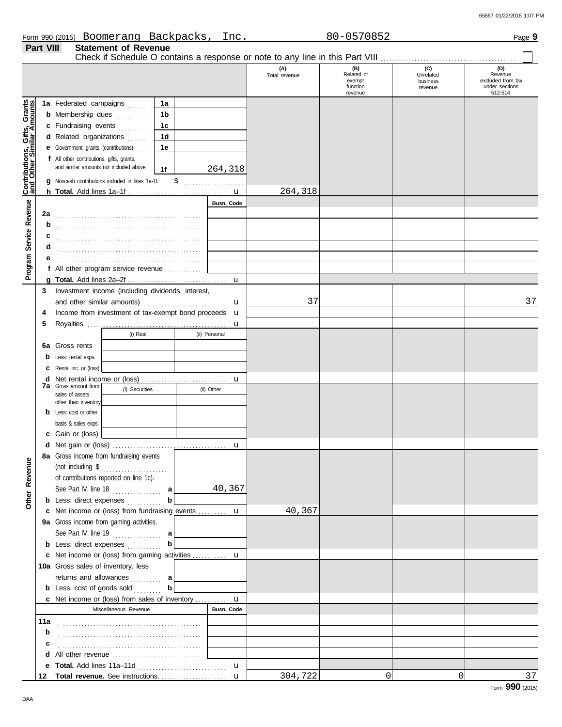|                                                           | Part VIII | <b>Statement of Revenue</b>                                                         |                |               |                   |                      |                                           |                                         |                                                                  |
|-----------------------------------------------------------|-----------|-------------------------------------------------------------------------------------|----------------|---------------|-------------------|----------------------|-------------------------------------------|-----------------------------------------|------------------------------------------------------------------|
|                                                           |           |                                                                                     |                |               |                   | (A)<br>Total revenue | $(B)$<br>Related or<br>exempt<br>function | (C)<br>Unrelated<br>business<br>revenue | (D)<br>Revenue<br>excluded from tax<br>under sections<br>512-514 |
|                                                           |           | 1a Federated campaigns                                                              | 1a             |               |                   |                      | revenue                                   |                                         |                                                                  |
| Contributions, Gifts, Grants<br>and Other Similar Amounts |           | <b>b</b> Membership dues                                                            | 1 <sub>b</sub> |               |                   |                      |                                           |                                         |                                                                  |
|                                                           |           | c Fundraising events                                                                | 1 <sub>c</sub> |               |                   |                      |                                           |                                         |                                                                  |
|                                                           |           | d Related organizations                                                             | 1 <sub>d</sub> |               |                   |                      |                                           |                                         |                                                                  |
|                                                           |           | as as as<br><b>e</b> Government grants (contributions)                              | 1e             |               |                   |                      |                                           |                                         |                                                                  |
|                                                           |           | f All other contributions, gifts, grants,                                           |                |               |                   |                      |                                           |                                         |                                                                  |
|                                                           |           | and similar amounts not included above                                              | 1f             |               | 264,318           |                      |                                           |                                         |                                                                  |
|                                                           |           | Noncash contributions included in lines 1a-1f:                                      |                | $\frac{1}{2}$ | .                 |                      |                                           |                                         |                                                                  |
|                                                           |           |                                                                                     |                |               |                   | 264,318              |                                           |                                         |                                                                  |
|                                                           |           |                                                                                     |                |               | Busn. Code        |                      |                                           |                                         |                                                                  |
| Service Revenue                                           | 2a        |                                                                                     |                |               |                   |                      |                                           |                                         |                                                                  |
|                                                           | b         |                                                                                     |                |               |                   |                      |                                           |                                         |                                                                  |
|                                                           | c         |                                                                                     |                |               |                   |                      |                                           |                                         |                                                                  |
|                                                           | d         |                                                                                     |                |               |                   |                      |                                           |                                         |                                                                  |
|                                                           | е         |                                                                                     |                |               |                   |                      |                                           |                                         |                                                                  |
| Program                                                   |           | f All other program service revenue                                                 |                |               |                   |                      |                                           |                                         |                                                                  |
|                                                           |           |                                                                                     |                |               | u                 |                      |                                           |                                         |                                                                  |
|                                                           | 3         | Investment income (including dividends, interest,                                   |                |               |                   |                      |                                           |                                         |                                                                  |
|                                                           |           | and other similar amounts)                                                          |                |               | u                 | 37                   |                                           |                                         | 37                                                               |
|                                                           | 4         | Income from investment of tax-exempt bond proceeds                                  |                |               | u                 |                      |                                           |                                         |                                                                  |
|                                                           | 5         |                                                                                     |                |               | u                 |                      |                                           |                                         |                                                                  |
|                                                           |           | (i) Real                                                                            |                |               | (ii) Personal     |                      |                                           |                                         |                                                                  |
|                                                           | 6а        | Gross rents                                                                         |                |               |                   |                      |                                           |                                         |                                                                  |
|                                                           | b         | Less: rental exps.                                                                  |                |               |                   |                      |                                           |                                         |                                                                  |
|                                                           | c         | Rental inc. or (loss)                                                               |                |               |                   |                      |                                           |                                         |                                                                  |
|                                                           | d         | <b>7a</b> Gross amount from                                                         |                |               | u                 |                      |                                           |                                         |                                                                  |
|                                                           |           | (i) Securities<br>sales of assets                                                   |                |               | (ii) Other        |                      |                                           |                                         |                                                                  |
|                                                           |           | other than inventory                                                                |                |               |                   |                      |                                           |                                         |                                                                  |
|                                                           | b         | Less: cost or other<br>basis & sales exps.                                          |                |               |                   |                      |                                           |                                         |                                                                  |
|                                                           |           | c Gain or (loss)                                                                    |                |               |                   |                      |                                           |                                         |                                                                  |
|                                                           |           |                                                                                     |                |               | u                 |                      |                                           |                                         |                                                                  |
|                                                           |           | 8a Gross income from fundraising events                                             |                |               |                   |                      |                                           |                                         |                                                                  |
|                                                           |           | (not including $\$\dots$                                                            |                |               |                   |                      |                                           |                                         |                                                                  |
|                                                           |           | of contributions reported on line 1c).                                              |                |               |                   |                      |                                           |                                         |                                                                  |
|                                                           |           | See Part IV, line 18                                                                | a l            |               | 40,367            |                      |                                           |                                         |                                                                  |
| Other Revenue                                             |           | <b>b</b> Less: direct expenses                                                      | b              |               |                   |                      |                                           |                                         |                                                                  |
|                                                           |           | c Net income or (loss) from fundraising events  u                                   |                |               |                   | 40,367               |                                           |                                         |                                                                  |
|                                                           |           | 9a Gross income from gaming activities.                                             |                |               |                   |                      |                                           |                                         |                                                                  |
|                                                           |           | See Part IV, line 19                                                                | a              |               |                   |                      |                                           |                                         |                                                                  |
|                                                           |           | <b>b</b> Less: direct expenses                                                      | b              |               |                   |                      |                                           |                                         |                                                                  |
|                                                           |           | c Net income or (loss) from gaming activities  u                                    |                |               |                   |                      |                                           |                                         |                                                                  |
|                                                           |           | 10a Gross sales of inventory, less                                                  |                |               |                   |                      |                                           |                                         |                                                                  |
|                                                           |           | returns and allowances  a                                                           |                |               |                   |                      |                                           |                                         |                                                                  |
|                                                           |           | <b>b</b> Less: cost of goods sold<br>.<br>.                                         | b              |               |                   |                      |                                           |                                         |                                                                  |
|                                                           |           | c Net income or (loss) from sales of inventory  u                                   |                |               |                   |                      |                                           |                                         |                                                                  |
|                                                           |           | Miscellaneous Revenue                                                               |                |               | <b>Busn. Code</b> |                      |                                           |                                         |                                                                  |
|                                                           | 11a       |                                                                                     |                |               |                   |                      |                                           |                                         |                                                                  |
|                                                           | b         |                                                                                     |                |               |                   |                      |                                           |                                         |                                                                  |
|                                                           | c         |                                                                                     |                |               |                   |                      |                                           |                                         |                                                                  |
|                                                           |           | <b>d</b> All other revenue $\ldots, \ldots, \ldots, \ldots, \ldots, \ldots, \ldots$ |                |               |                   |                      |                                           |                                         |                                                                  |
|                                                           |           |                                                                                     |                |               | $\mathbf{u}$      | 304,722              | $\Omega$                                  | $\Omega$                                | 37                                                               |
|                                                           |           |                                                                                     |                |               | $\mathbf u$       |                      |                                           |                                         |                                                                  |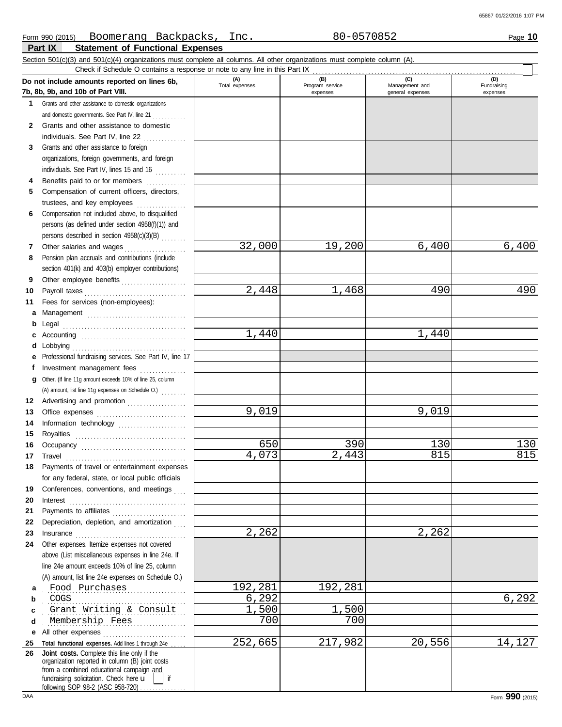# Form 990 (2015) Page **10** Boomerang Backpacks, Inc. 80-0570852

| 'ane | ۱O |
|------|----|
|      |    |

|             | Part IX<br><b>Statement of Functional Expenses</b>                                                                                                                                                                                                                                                                                                                                                                                                                                                                                                                                                                                                     |                |                             |                                    |                         |
|-------------|--------------------------------------------------------------------------------------------------------------------------------------------------------------------------------------------------------------------------------------------------------------------------------------------------------------------------------------------------------------------------------------------------------------------------------------------------------------------------------------------------------------------------------------------------------------------------------------------------------------------------------------------------------|----------------|-----------------------------|------------------------------------|-------------------------|
|             | Section 501(c)(3) and 501(c)(4) organizations must complete all columns. All other organizations must complete column (A).                                                                                                                                                                                                                                                                                                                                                                                                                                                                                                                             |                |                             |                                    |                         |
|             | Check if Schedule O contains a response or note to any line in this Part IX                                                                                                                                                                                                                                                                                                                                                                                                                                                                                                                                                                            | (A)            | (B)                         | (C)                                | (D)                     |
|             | Do not include amounts reported on lines 6b,<br>7b, 8b, 9b, and 10b of Part VIII.                                                                                                                                                                                                                                                                                                                                                                                                                                                                                                                                                                      | Total expenses | Program service<br>expenses | Management and<br>general expenses | Fundraising<br>expenses |
| $\mathbf 1$ | Grants and other assistance to domestic organizations                                                                                                                                                                                                                                                                                                                                                                                                                                                                                                                                                                                                  |                |                             |                                    |                         |
|             | and domestic governments. See Part IV, line 21                                                                                                                                                                                                                                                                                                                                                                                                                                                                                                                                                                                                         |                |                             |                                    |                         |
| 2           | Grants and other assistance to domestic                                                                                                                                                                                                                                                                                                                                                                                                                                                                                                                                                                                                                |                |                             |                                    |                         |
|             | individuals. See Part IV, line 22                                                                                                                                                                                                                                                                                                                                                                                                                                                                                                                                                                                                                      |                |                             |                                    |                         |
| 3           | Grants and other assistance to foreign                                                                                                                                                                                                                                                                                                                                                                                                                                                                                                                                                                                                                 |                |                             |                                    |                         |
|             | organizations, foreign governments, and foreign                                                                                                                                                                                                                                                                                                                                                                                                                                                                                                                                                                                                        |                |                             |                                    |                         |
|             | individuals. See Part IV, lines 15 and 16                                                                                                                                                                                                                                                                                                                                                                                                                                                                                                                                                                                                              |                |                             |                                    |                         |
| 4           | Benefits paid to or for members                                                                                                                                                                                                                                                                                                                                                                                                                                                                                                                                                                                                                        |                |                             |                                    |                         |
| 5           | Compensation of current officers, directors,                                                                                                                                                                                                                                                                                                                                                                                                                                                                                                                                                                                                           |                |                             |                                    |                         |
|             | trustees, and key employees<br>.                                                                                                                                                                                                                                                                                                                                                                                                                                                                                                                                                                                                                       |                |                             |                                    |                         |
| 6           | Compensation not included above, to disqualified                                                                                                                                                                                                                                                                                                                                                                                                                                                                                                                                                                                                       |                |                             |                                    |                         |
|             | persons (as defined under section 4958(f)(1)) and                                                                                                                                                                                                                                                                                                                                                                                                                                                                                                                                                                                                      |                |                             |                                    |                         |
|             | persons described in section 4958(c)(3)(B)                                                                                                                                                                                                                                                                                                                                                                                                                                                                                                                                                                                                             |                |                             |                                    |                         |
| 7           | Other salaries and wages                                                                                                                                                                                                                                                                                                                                                                                                                                                                                                                                                                                                                               | 32,000         | 19,200                      | 6,400                              | 6,400                   |
| 8           | Pension plan accruals and contributions (include                                                                                                                                                                                                                                                                                                                                                                                                                                                                                                                                                                                                       |                |                             |                                    |                         |
|             | section 401(k) and 403(b) employer contributions)                                                                                                                                                                                                                                                                                                                                                                                                                                                                                                                                                                                                      |                |                             |                                    |                         |
| 9           | Other employee benefits                                                                                                                                                                                                                                                                                                                                                                                                                                                                                                                                                                                                                                |                |                             |                                    |                         |
| 10          |                                                                                                                                                                                                                                                                                                                                                                                                                                                                                                                                                                                                                                                        | 2,448          | 1,468                       | 490                                | 490                     |
| 11          | Fees for services (non-employees):                                                                                                                                                                                                                                                                                                                                                                                                                                                                                                                                                                                                                     |                |                             |                                    |                         |
| а           | Management                                                                                                                                                                                                                                                                                                                                                                                                                                                                                                                                                                                                                                             |                |                             |                                    |                         |
| b           |                                                                                                                                                                                                                                                                                                                                                                                                                                                                                                                                                                                                                                                        |                |                             |                                    |                         |
| c           |                                                                                                                                                                                                                                                                                                                                                                                                                                                                                                                                                                                                                                                        | 1,440          |                             | 1,440                              |                         |
| d           |                                                                                                                                                                                                                                                                                                                                                                                                                                                                                                                                                                                                                                                        |                |                             |                                    |                         |
| е           | Professional fundraising services. See Part IV, line 17                                                                                                                                                                                                                                                                                                                                                                                                                                                                                                                                                                                                |                |                             |                                    |                         |
| f           | Investment management fees                                                                                                                                                                                                                                                                                                                                                                                                                                                                                                                                                                                                                             |                |                             |                                    |                         |
| g           | Other. (If line 11g amount exceeds 10% of line 25, column                                                                                                                                                                                                                                                                                                                                                                                                                                                                                                                                                                                              |                |                             |                                    |                         |
|             | (A) amount, list line 11g expenses on Schedule O.)                                                                                                                                                                                                                                                                                                                                                                                                                                                                                                                                                                                                     |                |                             |                                    |                         |
| 12          | Advertising and promotion                                                                                                                                                                                                                                                                                                                                                                                                                                                                                                                                                                                                                              |                |                             |                                    |                         |
| 13          |                                                                                                                                                                                                                                                                                                                                                                                                                                                                                                                                                                                                                                                        | 9,019          |                             | 9,019                              |                         |
| 14          | Information technology                                                                                                                                                                                                                                                                                                                                                                                                                                                                                                                                                                                                                                 |                |                             |                                    |                         |
| 15          | Royalties                                                                                                                                                                                                                                                                                                                                                                                                                                                                                                                                                                                                                                              |                |                             |                                    |                         |
| 16          |                                                                                                                                                                                                                                                                                                                                                                                                                                                                                                                                                                                                                                                        | 650            | 390                         | 130                                | 130                     |
| 17          | Travel                                                                                                                                                                                                                                                                                                                                                                                                                                                                                                                                                                                                                                                 | 4,073          | 2,443                       | 815                                | 815                     |
| 18          | Payments of travel or entertainment expenses                                                                                                                                                                                                                                                                                                                                                                                                                                                                                                                                                                                                           |                |                             |                                    |                         |
|             | for any federal, state, or local public officials                                                                                                                                                                                                                                                                                                                                                                                                                                                                                                                                                                                                      |                |                             |                                    |                         |
| 19          | Conferences, conventions, and meetings                                                                                                                                                                                                                                                                                                                                                                                                                                                                                                                                                                                                                 |                |                             |                                    |                         |
| 20          |                                                                                                                                                                                                                                                                                                                                                                                                                                                                                                                                                                                                                                                        |                |                             |                                    |                         |
| 21          |                                                                                                                                                                                                                                                                                                                                                                                                                                                                                                                                                                                                                                                        |                |                             |                                    |                         |
| 22          | Depreciation, depletion, and amortization                                                                                                                                                                                                                                                                                                                                                                                                                                                                                                                                                                                                              | 2,262          |                             | 2,262                              |                         |
| 23          | $In surface \begin{equation} \begin{equation} \begin{bmatrix} \text{maximize} \end{bmatrix} \end{equation} \begin{equation} \begin{bmatrix} \text{maximize} \end{bmatrix} \end{equation} \begin{equation} \begin{bmatrix} \text{maximize} \end{bmatrix} \end{equation} \begin{equation} \begin{bmatrix} \text{maximize} \end{bmatrix} \end{equation} \begin{equation} \begin{bmatrix} \text{maximize} \end{bmatrix} \end{equation} \begin{equation} \begin{bmatrix} \text{maximize} \end{bmatrix} \end{equation} \begin{equation} \begin{bmatrix} \text{maximize} \end{bmatrix} \end{equation} \begin$<br>Other expenses. Itemize expenses not covered |                |                             |                                    |                         |
| 24          | above (List miscellaneous expenses in line 24e. If                                                                                                                                                                                                                                                                                                                                                                                                                                                                                                                                                                                                     |                |                             |                                    |                         |
|             | line 24e amount exceeds 10% of line 25, column                                                                                                                                                                                                                                                                                                                                                                                                                                                                                                                                                                                                         |                |                             |                                    |                         |
|             | (A) amount, list line 24e expenses on Schedule O.)                                                                                                                                                                                                                                                                                                                                                                                                                                                                                                                                                                                                     |                |                             |                                    |                         |
| a           | Food Purchases                                                                                                                                                                                                                                                                                                                                                                                                                                                                                                                                                                                                                                         | 192,281        | 192,281                     |                                    |                         |
| b           | COGS                                                                                                                                                                                                                                                                                                                                                                                                                                                                                                                                                                                                                                                   | 6,292          |                             |                                    | 6, 292                  |
| c           | Grant Writing & Consult                                                                                                                                                                                                                                                                                                                                                                                                                                                                                                                                                                                                                                | 1,500          | 1,500                       |                                    |                         |
| d           | Membership Fees                                                                                                                                                                                                                                                                                                                                                                                                                                                                                                                                                                                                                                        | 700            | 700                         |                                    |                         |
| е           |                                                                                                                                                                                                                                                                                                                                                                                                                                                                                                                                                                                                                                                        |                |                             |                                    |                         |
| 25          | Total functional expenses. Add lines 1 through 24e                                                                                                                                                                                                                                                                                                                                                                                                                                                                                                                                                                                                     | 252,665        | 217,982                     | 20,556                             | 14,127                  |
| 26          | Joint costs. Complete this line only if the                                                                                                                                                                                                                                                                                                                                                                                                                                                                                                                                                                                                            |                |                             |                                    |                         |
|             | organization reported in column (B) joint costs<br>from a combined educational campaign and                                                                                                                                                                                                                                                                                                                                                                                                                                                                                                                                                            |                |                             |                                    |                         |
|             | fundraising solicitation. Check here u<br>if                                                                                                                                                                                                                                                                                                                                                                                                                                                                                                                                                                                                           |                |                             |                                    |                         |
|             | following SOP 98-2 (ASC 958-720)                                                                                                                                                                                                                                                                                                                                                                                                                                                                                                                                                                                                                       |                |                             |                                    |                         |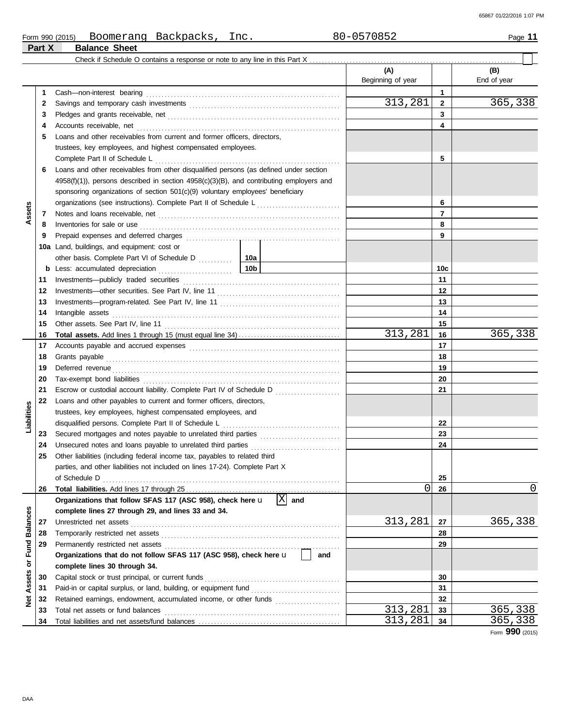|                 | Part X   | <b>Balance Sheet</b>                                                                                                                                                                                                                |                          |                |                    |
|-----------------|----------|-------------------------------------------------------------------------------------------------------------------------------------------------------------------------------------------------------------------------------------|--------------------------|----------------|--------------------|
|                 |          |                                                                                                                                                                                                                                     |                          |                |                    |
|                 |          |                                                                                                                                                                                                                                     | (A)<br>Beginning of year |                | (B)<br>End of year |
|                 | 1        |                                                                                                                                                                                                                                     |                          | 1              |                    |
|                 | 2        |                                                                                                                                                                                                                                     | 313,281                  | $\overline{2}$ | 365,338            |
|                 | 3        |                                                                                                                                                                                                                                     |                          | 3              |                    |
|                 | 4        |                                                                                                                                                                                                                                     |                          | 4              |                    |
|                 | 5        | Loans and other receivables from current and former officers, directors,                                                                                                                                                            |                          |                |                    |
|                 |          | trustees, key employees, and highest compensated employees.                                                                                                                                                                         |                          |                |                    |
|                 |          | Complete Part II of Schedule L                                                                                                                                                                                                      |                          | 5              |                    |
|                 | 6        | Loans and other receivables from other disqualified persons (as defined under section                                                                                                                                               |                          |                |                    |
|                 |          | $4958(f)(1)$ , persons described in section $4958(c)(3)(B)$ , and contributing employers and                                                                                                                                        |                          |                |                    |
|                 |          | sponsoring organizations of section 501(c)(9) voluntary employees' beneficiary                                                                                                                                                      |                          |                |                    |
|                 |          | organizations (see instructions). Complete Part II of Schedule L                                                                                                                                                                    |                          | 6              |                    |
| Assets          | 7        |                                                                                                                                                                                                                                     |                          | $\overline{7}$ |                    |
|                 | 8        | Inventories for sale or use <i>communication</i> and the state of the state of the state of the state of the state of the state of the state of the state of the state of the state of the state of the state of the state of the s |                          | 8              |                    |
|                 | 9        |                                                                                                                                                                                                                                     |                          | 9              |                    |
|                 | 10a      | Land, buildings, and equipment: cost or                                                                                                                                                                                             |                          |                |                    |
|                 |          |                                                                                                                                                                                                                                     |                          |                |                    |
|                 | b        | 10b                                                                                                                                                                                                                                 |                          | 10c            |                    |
|                 | 11       |                                                                                                                                                                                                                                     |                          | 11             |                    |
|                 | 12       |                                                                                                                                                                                                                                     |                          | 12             |                    |
|                 | 13       |                                                                                                                                                                                                                                     |                          | 13             |                    |
|                 | 14       | Intangible assets                                                                                                                                                                                                                   |                          | 14             |                    |
|                 | 15       | Other assets. See Part IV, line 11                                                                                                                                                                                                  | 313,281                  | 15             |                    |
|                 | 16       |                                                                                                                                                                                                                                     |                          | 16             | 365,338            |
|                 | 17<br>18 | Grants payable                                                                                                                                                                                                                      |                          | 17<br>18       |                    |
|                 | 19       |                                                                                                                                                                                                                                     |                          | 19             |                    |
|                 | 20       |                                                                                                                                                                                                                                     |                          | 20             |                    |
|                 | 21       |                                                                                                                                                                                                                                     |                          | 21             |                    |
|                 | 22       | Loans and other payables to current and former officers, directors,                                                                                                                                                                 |                          |                |                    |
| Liabilities     |          | trustees, key employees, highest compensated employees, and                                                                                                                                                                         |                          |                |                    |
|                 |          | disqualified persons. Complete Part II of Schedule L                                                                                                                                                                                |                          | 22             |                    |
|                 | 23       |                                                                                                                                                                                                                                     |                          | 23             |                    |
|                 | 24       |                                                                                                                                                                                                                                     |                          | 24             |                    |
|                 | 25       | Other liabilities (including federal income tax, payables to related third                                                                                                                                                          |                          |                |                    |
|                 |          | parties, and other liabilities not included on lines 17-24). Complete Part X                                                                                                                                                        |                          |                |                    |
|                 |          |                                                                                                                                                                                                                                     |                          | 25             |                    |
|                 | 26       |                                                                                                                                                                                                                                     | 0                        | 26             | 0                  |
|                 |          | $ \mathbf{X} $ and<br>Organizations that follow SFAS 117 (ASC 958), check here u                                                                                                                                                    |                          |                |                    |
|                 |          | complete lines 27 through 29, and lines 33 and 34.                                                                                                                                                                                  |                          |                |                    |
| <b>Balances</b> | 27       |                                                                                                                                                                                                                                     | 313,281                  | 27             | 365,338            |
|                 | 28       |                                                                                                                                                                                                                                     |                          | 28             |                    |
| Fund            | 29       |                                                                                                                                                                                                                                     |                          | 29             |                    |
|                 |          | Organizations that do not follow SFAS 117 (ASC 958), check here u<br>and                                                                                                                                                            |                          |                |                    |
| ð               |          | complete lines 30 through 34.                                                                                                                                                                                                       |                          |                |                    |
| Assets          | 30       | Capital stock or trust principal, or current funds                                                                                                                                                                                  |                          | 30             |                    |
|                 | 31       |                                                                                                                                                                                                                                     |                          | 31             |                    |
| ğ               | 32       | Retained earnings, endowment, accumulated income, or other funds                                                                                                                                                                    |                          | 32             |                    |
|                 | 33       |                                                                                                                                                                                                                                     | 313,281                  | 33             | 365,338            |
|                 | 34       |                                                                                                                                                                                                                                     | 313,281                  | 34             | 365,338            |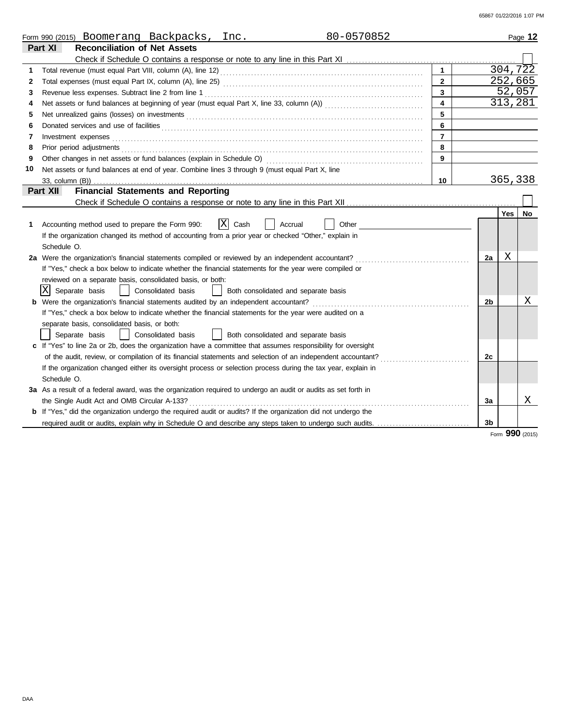|    | 80-0570852<br>Form 990 (2015) Boomerang Backpacks, Inc.                                                                                                                                                                        |                         |                |            | Page 12   |
|----|--------------------------------------------------------------------------------------------------------------------------------------------------------------------------------------------------------------------------------|-------------------------|----------------|------------|-----------|
|    | <b>Reconciliation of Net Assets</b><br>Part XI                                                                                                                                                                                 |                         |                |            |           |
|    |                                                                                                                                                                                                                                |                         |                |            |           |
| 1  |                                                                                                                                                                                                                                | $\mathbf{1}$            |                | 304,722    |           |
| 2  |                                                                                                                                                                                                                                | $\overline{2}$          |                | 252,665    |           |
| 3  | Revenue less expenses. Subtract line 2 from line 1                                                                                                                                                                             | $\mathbf{3}$            |                | 52,057     |           |
| 4  |                                                                                                                                                                                                                                | $\overline{\mathbf{4}}$ |                | 313,281    |           |
| 5  |                                                                                                                                                                                                                                | 5                       |                |            |           |
| 6  | Donated services and use of facilities <b>constants and interview of facilities</b>                                                                                                                                            | 6                       |                |            |           |
| 7  | Investment expenses <b>contract and the expenses</b>                                                                                                                                                                           | $\overline{7}$          |                |            |           |
| 8  | Prior period adjustments entertainments and a statement of the statement of the statement of the statement of the statement of the statement of the statement of the statement of the statement of the statement of the statem | 8                       |                |            |           |
| 9  |                                                                                                                                                                                                                                | 9                       |                |            |           |
| 10 | Net assets or fund balances at end of year. Combine lines 3 through 9 (must equal Part X, line                                                                                                                                 |                         |                |            |           |
|    |                                                                                                                                                                                                                                | 10                      |                | 365,338    |           |
|    | Part XII<br><b>Financial Statements and Reporting</b>                                                                                                                                                                          |                         |                |            |           |
|    |                                                                                                                                                                                                                                |                         |                |            |           |
|    |                                                                                                                                                                                                                                |                         |                | <b>Yes</b> | <b>No</b> |
| 1  | X <br>Cash<br>Accounting method used to prepare the Form 990:<br>Other<br>Accrual                                                                                                                                              |                         |                |            |           |
|    | If the organization changed its method of accounting from a prior year or checked "Other," explain in                                                                                                                          |                         |                |            |           |
|    | Schedule O.                                                                                                                                                                                                                    |                         |                |            |           |
|    | 2a Were the organization's financial statements compiled or reviewed by an independent accountant?                                                                                                                             |                         | 2a             | X          |           |
|    | If "Yes," check a box below to indicate whether the financial statements for the year were compiled or                                                                                                                         |                         |                |            |           |
|    | reviewed on a separate basis, consolidated basis, or both:                                                                                                                                                                     |                         |                |            |           |
|    | lΧl<br>Separate basis<br>Consolidated basis<br>Both consolidated and separate basis                                                                                                                                            |                         |                |            |           |
|    | <b>b</b> Were the organization's financial statements audited by an independent accountant?                                                                                                                                    |                         | 2 <sub>b</sub> |            | Χ         |
|    | If "Yes," check a box below to indicate whether the financial statements for the year were audited on a                                                                                                                        |                         |                |            |           |
|    | separate basis, consolidated basis, or both:                                                                                                                                                                                   |                         |                |            |           |
|    | Separate basis<br>Consolidated basis<br>  Both consolidated and separate basis                                                                                                                                                 |                         |                |            |           |
|    | c If "Yes" to line 2a or 2b, does the organization have a committee that assumes responsibility for oversight                                                                                                                  |                         |                |            |           |
|    | of the audit, review, or compilation of its financial statements and selection of an independent accountant?                                                                                                                   |                         | 2c             |            |           |
|    | If the organization changed either its oversight process or selection process during the tax year, explain in                                                                                                                  |                         |                |            |           |
|    | Schedule O.                                                                                                                                                                                                                    |                         |                |            |           |
|    | 3a As a result of a federal award, was the organization required to undergo an audit or audits as set forth in                                                                                                                 |                         |                |            |           |
|    | the Single Audit Act and OMB Circular A-133?                                                                                                                                                                                   |                         | 3a             |            | Χ         |
|    | <b>b</b> If "Yes," did the organization undergo the required audit or audits? If the organization did not undergo the                                                                                                          |                         |                |            |           |
|    |                                                                                                                                                                                                                                |                         | 3b             |            |           |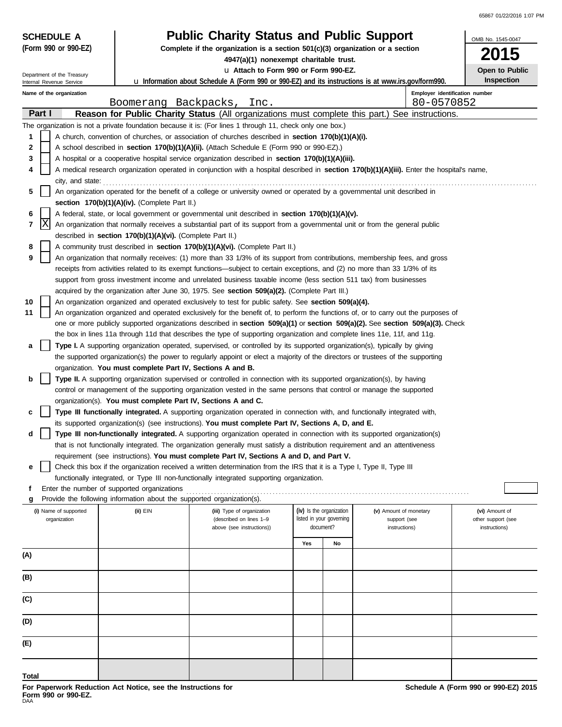| 65867 01/22/2016 1:07 PM |  |
|--------------------------|--|
|                          |  |

| <b>SCHEDULE A</b>                                      |                                                                                                  | <b>Public Charity Status and Public Support</b>                                                                                                                                                                                                                       |     |                                       |                        | OMB No. 1545-0047              |  |  |  |  |
|--------------------------------------------------------|--------------------------------------------------------------------------------------------------|-----------------------------------------------------------------------------------------------------------------------------------------------------------------------------------------------------------------------------------------------------------------------|-----|---------------------------------------|------------------------|--------------------------------|--|--|--|--|
| (Form 990 or 990-EZ)                                   |                                                                                                  | Complete if the organization is a section $501(c)(3)$ organization or a section                                                                                                                                                                                       |     |                                       |                        | 15                             |  |  |  |  |
|                                                        |                                                                                                  | 4947(a)(1) nonexempt charitable trust.                                                                                                                                                                                                                                |     |                                       |                        |                                |  |  |  |  |
| Department of the Treasury<br>Internal Revenue Service |                                                                                                  | u Attach to Form 990 or Form 990-EZ.<br><b>u</b> Information about Schedule A (Form 990 or 990-EZ) and its instructions is at www.irs.gov/form990.                                                                                                                    |     |                                       |                        | Open to Public<br>Inspection   |  |  |  |  |
| Name of the organization                               |                                                                                                  |                                                                                                                                                                                                                                                                       |     |                                       |                        | Employer identification number |  |  |  |  |
|                                                        | Boomerang Backpacks,                                                                             | Inc.                                                                                                                                                                                                                                                                  |     |                                       |                        | 80-0570852                     |  |  |  |  |
| Part I                                                 |                                                                                                  | Reason for Public Charity Status (All organizations must complete this part.) See instructions.                                                                                                                                                                       |     |                                       |                        |                                |  |  |  |  |
|                                                        |                                                                                                  | The organization is not a private foundation because it is: (For lines 1 through 11, check only one box.)                                                                                                                                                             |     |                                       |                        |                                |  |  |  |  |
| 1                                                      |                                                                                                  | A church, convention of churches, or association of churches described in section 170(b)(1)(A)(i).                                                                                                                                                                    |     |                                       |                        |                                |  |  |  |  |
| 2<br>3                                                 |                                                                                                  | A school described in section 170(b)(1)(A)(ii). (Attach Schedule E (Form 990 or 990-EZ).)<br>A hospital or a cooperative hospital service organization described in section 170(b)(1)(A)(iii).                                                                        |     |                                       |                        |                                |  |  |  |  |
| 4                                                      |                                                                                                  | A medical research organization operated in conjunction with a hospital described in section 170(b)(1)(A)(iii). Enter the hospital's name,                                                                                                                            |     |                                       |                        |                                |  |  |  |  |
| city, and state:                                       |                                                                                                  |                                                                                                                                                                                                                                                                       |     |                                       |                        |                                |  |  |  |  |
| 5                                                      |                                                                                                  | An organization operated for the benefit of a college or university owned or operated by a governmental unit described in                                                                                                                                             |     |                                       |                        |                                |  |  |  |  |
|                                                        | section 170(b)(1)(A)(iv). (Complete Part II.)                                                    |                                                                                                                                                                                                                                                                       |     |                                       |                        |                                |  |  |  |  |
| 6                                                      | A federal, state, or local government or governmental unit described in section 170(b)(1)(A)(v). |                                                                                                                                                                                                                                                                       |     |                                       |                        |                                |  |  |  |  |
| X<br>7                                                 |                                                                                                  | An organization that normally receives a substantial part of its support from a governmental unit or from the general public                                                                                                                                          |     |                                       |                        |                                |  |  |  |  |
| 8                                                      | described in section 170(b)(1)(A)(vi). (Complete Part II.)                                       | A community trust described in section 170(b)(1)(A)(vi). (Complete Part II.)                                                                                                                                                                                          |     |                                       |                        |                                |  |  |  |  |
| 9                                                      |                                                                                                  | An organization that normally receives: (1) more than 33 1/3% of its support from contributions, membership fees, and gross                                                                                                                                           |     |                                       |                        |                                |  |  |  |  |
|                                                        |                                                                                                  | receipts from activities related to its exempt functions—subject to certain exceptions, and (2) no more than 33 1/3% of its                                                                                                                                           |     |                                       |                        |                                |  |  |  |  |
|                                                        |                                                                                                  | support from gross investment income and unrelated business taxable income (less section 511 tax) from businesses                                                                                                                                                     |     |                                       |                        |                                |  |  |  |  |
|                                                        |                                                                                                  | acquired by the organization after June 30, 1975. See section 509(a)(2). (Complete Part III.)                                                                                                                                                                         |     |                                       |                        |                                |  |  |  |  |
| 10                                                     |                                                                                                  | An organization organized and operated exclusively to test for public safety. See section 509(a)(4).                                                                                                                                                                  |     |                                       |                        |                                |  |  |  |  |
| 11                                                     |                                                                                                  | An organization organized and operated exclusively for the benefit of, to perform the functions of, or to carry out the purposes of<br>one or more publicly supported organizations described in section 509(a)(1) or section 509(a)(2). See section 509(a)(3). Check |     |                                       |                        |                                |  |  |  |  |
|                                                        |                                                                                                  | the box in lines 11a through 11d that describes the type of supporting organization and complete lines 11e, 11f, and 11g.                                                                                                                                             |     |                                       |                        |                                |  |  |  |  |
| а                                                      |                                                                                                  | Type I. A supporting organization operated, supervised, or controlled by its supported organization(s), typically by giving                                                                                                                                           |     |                                       |                        |                                |  |  |  |  |
|                                                        |                                                                                                  | the supported organization(s) the power to regularly appoint or elect a majority of the directors or trustees of the supporting                                                                                                                                       |     |                                       |                        |                                |  |  |  |  |
|                                                        | organization. You must complete Part IV, Sections A and B.                                       |                                                                                                                                                                                                                                                                       |     |                                       |                        |                                |  |  |  |  |
| b                                                      |                                                                                                  | Type II. A supporting organization supervised or controlled in connection with its supported organization(s), by having                                                                                                                                               |     |                                       |                        |                                |  |  |  |  |
|                                                        |                                                                                                  | control or management of the supporting organization vested in the same persons that control or manage the supported                                                                                                                                                  |     |                                       |                        |                                |  |  |  |  |
| c                                                      | organization(s). You must complete Part IV, Sections A and C.                                    | Type III functionally integrated. A supporting organization operated in connection with, and functionally integrated with,                                                                                                                                            |     |                                       |                        |                                |  |  |  |  |
|                                                        |                                                                                                  | its supported organization(s) (see instructions). You must complete Part IV, Sections A, D, and E.                                                                                                                                                                    |     |                                       |                        |                                |  |  |  |  |
| d                                                      |                                                                                                  | Type III non-functionally integrated. A supporting organization operated in connection with its supported organization(s)                                                                                                                                             |     |                                       |                        |                                |  |  |  |  |
|                                                        |                                                                                                  | that is not functionally integrated. The organization generally must satisfy a distribution requirement and an attentiveness                                                                                                                                          |     |                                       |                        |                                |  |  |  |  |
|                                                        |                                                                                                  | requirement (see instructions). You must complete Part IV, Sections A and D, and Part V.                                                                                                                                                                              |     |                                       |                        |                                |  |  |  |  |
| е                                                      |                                                                                                  | Check this box if the organization received a written determination from the IRS that it is a Type I, Type II, Type III                                                                                                                                               |     |                                       |                        |                                |  |  |  |  |
|                                                        | Enter the number of supported organizations                                                      | functionally integrated, or Type III non-functionally integrated supporting organization.                                                                                                                                                                             |     |                                       |                        |                                |  |  |  |  |
| g                                                      | Provide the following information about the supported organization(s).                           |                                                                                                                                                                                                                                                                       |     |                                       |                        |                                |  |  |  |  |
| (i) Name of supported                                  | (ii) EIN                                                                                         | (iii) Type of organization                                                                                                                                                                                                                                            |     | (iv) Is the organization              | (v) Amount of monetary | (vi) Amount of                 |  |  |  |  |
| organization                                           |                                                                                                  | (described on lines 1-9<br>above (see instructions))                                                                                                                                                                                                                  |     | listed in your governing<br>document? | support (see           | other support (see             |  |  |  |  |
|                                                        |                                                                                                  |                                                                                                                                                                                                                                                                       |     |                                       | instructions)          | instructions)                  |  |  |  |  |
|                                                        |                                                                                                  |                                                                                                                                                                                                                                                                       | Yes | No                                    |                        |                                |  |  |  |  |
| (A)                                                    |                                                                                                  |                                                                                                                                                                                                                                                                       |     |                                       |                        |                                |  |  |  |  |
|                                                        |                                                                                                  |                                                                                                                                                                                                                                                                       |     |                                       |                        |                                |  |  |  |  |
| (B)                                                    |                                                                                                  |                                                                                                                                                                                                                                                                       |     |                                       |                        |                                |  |  |  |  |
| (C)                                                    |                                                                                                  |                                                                                                                                                                                                                                                                       |     |                                       |                        |                                |  |  |  |  |
|                                                        |                                                                                                  |                                                                                                                                                                                                                                                                       |     |                                       |                        |                                |  |  |  |  |
| (D)                                                    |                                                                                                  |                                                                                                                                                                                                                                                                       |     |                                       |                        |                                |  |  |  |  |
|                                                        |                                                                                                  |                                                                                                                                                                                                                                                                       |     |                                       |                        |                                |  |  |  |  |
| (E)                                                    |                                                                                                  |                                                                                                                                                                                                                                                                       |     |                                       |                        |                                |  |  |  |  |
|                                                        |                                                                                                  |                                                                                                                                                                                                                                                                       |     |                                       |                        |                                |  |  |  |  |

**Total**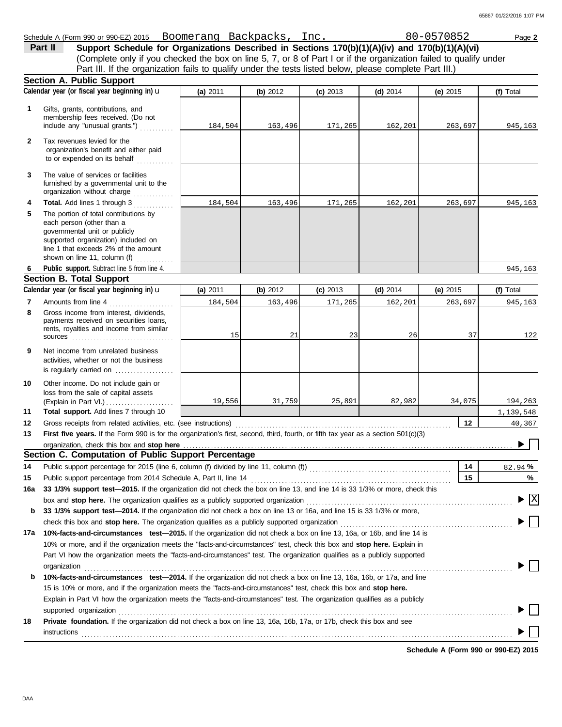(Complete only if you checked the box on line 5, 7, or 8 of Part I or if the organization failed to qualify under **Part II** Support Schedule for Organizations Described in Sections 170(b)(1)(A)(iv) and 170(b)(1)(A)(vi) Part III. If the organization fails to qualify under the tests listed below, please complete Part III.)

|              | <b>Section A. Public Support</b>                                                                                                                                                                                   |            |            |            |            |            |                         |
|--------------|--------------------------------------------------------------------------------------------------------------------------------------------------------------------------------------------------------------------|------------|------------|------------|------------|------------|-------------------------|
|              | Calendar year (or fiscal year beginning in) u                                                                                                                                                                      | (a) 2011   | (b) $2012$ | $(c)$ 2013 | (d) $2014$ | (e) $2015$ | (f) Total               |
| 1            | Gifts, grants, contributions, and<br>membership fees received. (Do not<br>include any "unusual grants.")                                                                                                           | 184,504    | 163,496    | 171,265    | 162,201    | 263,697    | 945,163                 |
| $\mathbf{2}$ | Tax revenues levied for the<br>organization's benefit and either paid<br>to or expended on its behalf                                                                                                              |            |            |            |            |            |                         |
| 3            | The value of services or facilities<br>furnished by a governmental unit to the<br>organization without charge                                                                                                      |            |            |            |            |            |                         |
| 4            | Total. Add lines 1 through 3<br>.                                                                                                                                                                                  | 184,504    | 163,496    | 171,265    | 162,201    | 263,697    | 945,163                 |
| 5            | The portion of total contributions by<br>each person (other than a<br>governmental unit or publicly<br>supported organization) included on<br>line 1 that exceeds 2% of the amount<br>shown on line 11, column (f) |            |            |            |            |            |                         |
| 6            | Public support. Subtract line 5 from line 4.                                                                                                                                                                       |            |            |            |            |            | 945,163                 |
|              | <b>Section B. Total Support</b>                                                                                                                                                                                    |            |            |            |            |            |                         |
|              | Calendar year (or fiscal year beginning in) u                                                                                                                                                                      | (a) $2011$ | (b) 2012   | $(c)$ 2013 | (d) $2014$ | (e) $2015$ | (f) Total               |
| 7            | Amounts from line 4<br>.                                                                                                                                                                                           | 184,504    | 163,496    | 171,265    | 162,201    | 263,697    | 945,163                 |
| 8            | Gross income from interest, dividends,<br>payments received on securities loans,<br>rents, royalties and income from similar<br><b>SOUICES</b>                                                                     | 15         | 21         | 23         | 26         | 37         | 122                     |
| 9            | Net income from unrelated business<br>activities, whether or not the business<br>is regularly carried on                                                                                                           |            |            |            |            |            |                         |
| 10           | Other income. Do not include gain or<br>loss from the sale of capital assets                                                                                                                                       | 19,556     | 31,759     | 25,891     | 82,982     | 34,075     | 194,263                 |
| 11           | Total support. Add lines 7 through 10                                                                                                                                                                              |            |            |            |            |            | 1,139,548               |
| 12           | Gross receipts from related activities, etc. (see instructions)                                                                                                                                                    |            |            |            |            | $12 \,$    | 40,367                  |
| 13           | First five years. If the Form 990 is for the organization's first, second, third, fourth, or fifth tax year as a section 501(c)(3)                                                                                 |            |            |            |            |            |                         |
|              | organization, check this box and stop here                                                                                                                                                                         |            |            |            |            |            |                         |
|              | Section C. Computation of Public Support Percentage                                                                                                                                                                |            |            |            |            |            |                         |
| 14           | Public support percentage for 2015 (line 6, column (f) divided by line 11, column (f) [[[[[[[[[[[[[[[[[[[[[[[                                                                                                      |            |            |            |            | 14         | 82.94%                  |
| 15           |                                                                                                                                                                                                                    |            |            |            |            | 15         | %                       |
| 16a          | 33 1/3% support test-2015. If the organization did not check the box on line 13, and line 14 is 33 1/3% or more, check this                                                                                        |            |            |            |            |            |                         |
|              | box and stop here. The organization qualifies as a publicly supported organization                                                                                                                                 |            |            |            |            |            | $\overline{\mathbf{x}}$ |
| b            | 33 1/3% support test-2014. If the organization did not check a box on line 13 or 16a, and line 15 is 33 1/3% or more,                                                                                              |            |            |            |            |            |                         |
|              | check this box and stop here. The organization qualifies as a publicly supported organization                                                                                                                      |            |            |            |            |            |                         |
| 17a          | 10%-facts-and-circumstances test-2015. If the organization did not check a box on line 13, 16a, or 16b, and line 14 is                                                                                             |            |            |            |            |            |                         |
|              | 10% or more, and if the organization meets the "facts-and-circumstances" test, check this box and stop here. Explain in                                                                                            |            |            |            |            |            |                         |
|              | Part VI how the organization meets the "facts-and-circumstances" test. The organization qualifies as a publicly supported                                                                                          |            |            |            |            |            |                         |
|              | organization                                                                                                                                                                                                       |            |            |            |            |            |                         |
| b            | 10%-facts-and-circumstances test-2014. If the organization did not check a box on line 13, 16a, 16b, or 17a, and line                                                                                              |            |            |            |            |            |                         |
|              | 15 is 10% or more, and if the organization meets the "facts-and-circumstances" test, check this box and stop here.                                                                                                 |            |            |            |            |            |                         |
|              | Explain in Part VI how the organization meets the "facts-and-circumstances" test. The organization qualifies as a publicly                                                                                         |            |            |            |            |            |                         |
|              | supported organization                                                                                                                                                                                             |            |            |            |            |            |                         |
| 18           | Private foundation. If the organization did not check a box on line 13, 16a, 16b, 17a, or 17b, check this box and see                                                                                              |            |            |            |            |            |                         |
|              | instructions                                                                                                                                                                                                       |            |            |            |            |            |                         |

**Schedule A (Form 990 or 990-EZ) 2015**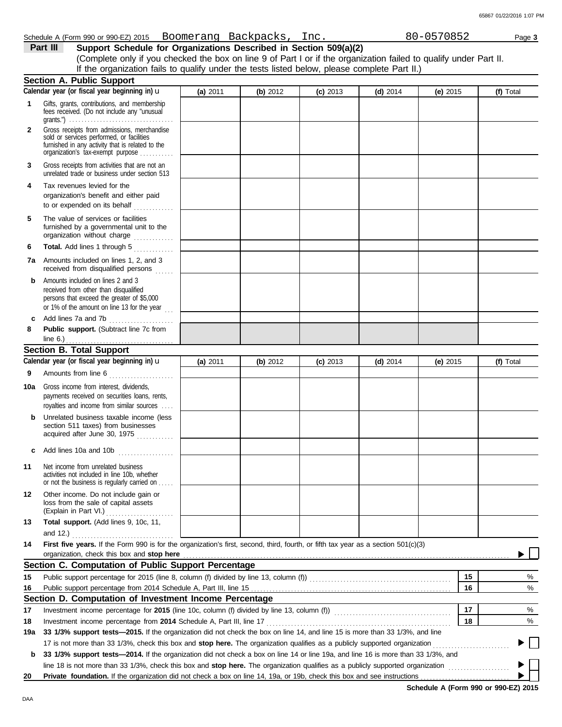|          | Schedule A (Form 990 or 990-EZ) 2015  Boomerang Backpacks,        |  | 80-0570852 | Page 3 |
|----------|-------------------------------------------------------------------|--|------------|--------|
| Part III | Support Schedule for Organizations Described in Section 509(a)(2) |  |            |        |

|              | . a<br>oupport ocheaule for Organizations Described in Oection Jos(a)(z)<br>(Complete only if you checked the box on line 9 of Part I or if the organization failed to qualify under Part II. |            |          |            |            |            |           |
|--------------|-----------------------------------------------------------------------------------------------------------------------------------------------------------------------------------------------|------------|----------|------------|------------|------------|-----------|
|              | If the organization fails to qualify under the tests listed below, please complete Part II.)                                                                                                  |            |          |            |            |            |           |
|              | <b>Section A. Public Support</b>                                                                                                                                                              |            |          |            |            |            |           |
|              | Calendar year (or fiscal year beginning in) u                                                                                                                                                 | (a) 2011   | (b) 2012 | $(c)$ 2013 | (d) $2014$ | (e) $2015$ | (f) Total |
| 1            | Gifts, grants, contributions, and membership<br>fees received. (Do not include any "unusual<br>grants.") $\ldots \ldots \ldots \ldots \ldots \ldots \ldots \ldots \ldots \ldots \ldots$       |            |          |            |            |            |           |
| $\mathbf{2}$ | Gross receipts from admissions, merchandise<br>sold or services performed, or facilities<br>furnished in any activity that is related to the<br>organization's tax-exempt purpose             |            |          |            |            |            |           |
| 3            | Gross receipts from activities that are not an<br>unrelated trade or business under section 513                                                                                               |            |          |            |            |            |           |
| 4            | Tax revenues levied for the<br>organization's benefit and either paid<br>to or expended on its behalf                                                                                         |            |          |            |            |            |           |
| 5            | The value of services or facilities<br>furnished by a governmental unit to the<br>organization without charge                                                                                 |            |          |            |            |            |           |
| 6            | Total. Add lines 1 through 5<br>.                                                                                                                                                             |            |          |            |            |            |           |
|              | 7a Amounts included on lines 1, 2, and 3<br>received from disqualified persons                                                                                                                |            |          |            |            |            |           |
| b            | Amounts included on lines 2 and 3<br>received from other than disqualified<br>persons that exceed the greater of \$5,000<br>or 1% of the amount on line 13 for the year $\ldots$              |            |          |            |            |            |           |
| C            | Add lines 7a and 7b                                                                                                                                                                           |            |          |            |            |            |           |
| 8            | Public support. (Subtract line 7c from<br>line $6.$ )                                                                                                                                         |            |          |            |            |            |           |
|              | <b>Section B. Total Support</b>                                                                                                                                                               |            |          |            |            |            |           |
|              | Calendar year (or fiscal year beginning in) u                                                                                                                                                 | (a) $2011$ | (b) 2012 | $(c)$ 2013 | (d) $2014$ | (e) $2015$ | (f) Total |
| 9            | Amounts from line 6                                                                                                                                                                           |            |          |            |            |            |           |
| 10a          | Gross income from interest, dividends,<br>payments received on securities loans, rents,<br>royalties and income from similar sources                                                          |            |          |            |            |            |           |
| b            | Unrelated business taxable income (less<br>section 511 taxes) from businesses<br>acquired after June 30, 1975                                                                                 |            |          |            |            |            |           |
|              | c Add lines 10a and 10b $\ldots$                                                                                                                                                              |            |          |            |            |            |           |
| 11           | Net income from unrelated business<br>activities not included in line 10b, whether<br>or not the business is regularly carried on                                                             |            |          |            |            |            |           |
| 12           | Other income. Do not include gain or<br>loss from the sale of capital assets<br>(Explain in Part VI.)                                                                                         |            |          |            |            |            |           |
| 13           | Total support. (Add lines 9, 10c, 11,                                                                                                                                                         |            |          |            |            |            |           |
|              | and 12.) $\ldots$                                                                                                                                                                             |            |          |            |            |            |           |
| 14           | First five years. If the Form 990 is for the organization's first, second, third, fourth, or fifth tax year as a section 501(c)(3)                                                            |            |          |            |            |            |           |
|              | Section C. Computation of Public Support Percentage                                                                                                                                           |            |          |            |            |            |           |
| 15           |                                                                                                                                                                                               |            |          |            |            | 15         | %         |
| 16           |                                                                                                                                                                                               |            |          |            |            | 16         | %         |
|              | Section D. Computation of Investment Income Percentage                                                                                                                                        |            |          |            |            |            |           |
| 17           |                                                                                                                                                                                               |            |          |            |            | 17         | %         |
| 18           | Investment income percentage from 2014 Schedule A, Part III, line 17                                                                                                                          |            |          |            |            | 18         | %         |
| 19a          | 33 1/3% support tests—2015. If the organization did not check the box on line 14, and line 15 is more than 33 1/3%, and line                                                                  |            |          |            |            |            |           |
|              | 17 is not more than 33 1/3%, check this box and stop here. The organization qualifies as a publicly supported organization                                                                    |            |          |            |            |            |           |
| b            | 33 1/3% support tests-2014. If the organization did not check a box on line 14 or line 19a, and line 16 is more than 33 1/3%, and                                                             |            |          |            |            |            |           |
|              |                                                                                                                                                                                               |            |          |            |            |            |           |
| 20           | Private foundation. If the organization did not check a box on line 14, 19a, or 19b, check this box and see instructions <i>[[[[[[[[[[[[[]]]</i> ]]                                           |            |          |            |            |            |           |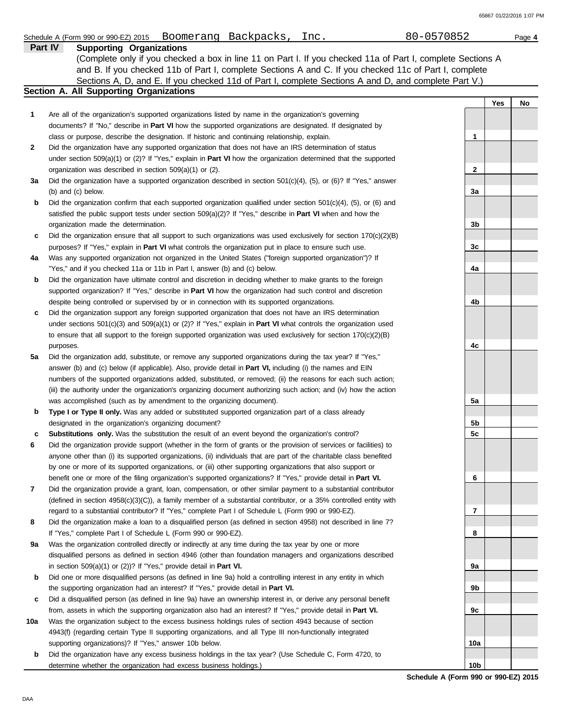|     | Boomerang Backpacks, Inc.<br>Schedule A (Form 990 or 990-EZ) 2015                                                                                                                                                                         | 80-0570852      |     | Page 4 |
|-----|-------------------------------------------------------------------------------------------------------------------------------------------------------------------------------------------------------------------------------------------|-----------------|-----|--------|
|     | Part IV<br><b>Supporting Organizations</b>                                                                                                                                                                                                |                 |     |        |
|     | (Complete only if you checked a box in line 11 on Part I. If you checked 11a of Part I, complete Sections A                                                                                                                               |                 |     |        |
|     | and B. If you checked 11b of Part I, complete Sections A and C. If you checked 11c of Part I, complete                                                                                                                                    |                 |     |        |
|     | Sections A, D, and E. If you checked 11d of Part I, complete Sections A and D, and complete Part V.)                                                                                                                                      |                 |     |        |
|     | Section A. All Supporting Organizations                                                                                                                                                                                                   |                 |     |        |
| 1   | Are all of the organization's supported organizations listed by name in the organization's governing                                                                                                                                      |                 | Yes | No     |
|     | documents? If "No," describe in Part VI how the supported organizations are designated. If designated by                                                                                                                                  |                 |     |        |
|     | class or purpose, describe the designation. If historic and continuing relationship, explain.                                                                                                                                             | 1               |     |        |
| 2   | Did the organization have any supported organization that does not have an IRS determination of status                                                                                                                                    |                 |     |        |
|     | under section 509(a)(1) or (2)? If "Yes," explain in <b>Part VI</b> how the organization determined that the supported                                                                                                                    |                 |     |        |
|     | organization was described in section 509(a)(1) or (2).                                                                                                                                                                                   | $\mathbf{2}$    |     |        |
| За  | Did the organization have a supported organization described in section $501(c)(4)$ , $(5)$ , or $(6)$ ? If "Yes," answer                                                                                                                 |                 |     |        |
|     | (b) and (c) below.                                                                                                                                                                                                                        | За              |     |        |
| b   | Did the organization confirm that each supported organization qualified under section $501(c)(4)$ , $(5)$ , or $(6)$ and                                                                                                                  |                 |     |        |
|     | satisfied the public support tests under section $509(a)(2)$ ? If "Yes," describe in <b>Part VI</b> when and how the                                                                                                                      |                 |     |        |
|     | organization made the determination.                                                                                                                                                                                                      | 3b              |     |        |
| c   | Did the organization ensure that all support to such organizations was used exclusively for section $170(c)(2)(B)$                                                                                                                        |                 |     |        |
|     | purposes? If "Yes," explain in Part VI what controls the organization put in place to ensure such use.                                                                                                                                    | 3c              |     |        |
| 4a  | Was any supported organization not organized in the United States ("foreign supported organization")? If                                                                                                                                  |                 |     |        |
| b   | "Yes," and if you checked 11a or 11b in Part I, answer (b) and (c) below.<br>Did the organization have ultimate control and discretion in deciding whether to make grants to the foreign                                                  | 4a              |     |        |
|     | supported organization? If "Yes," describe in Part VI how the organization had such control and discretion                                                                                                                                |                 |     |        |
|     | despite being controlled or supervised by or in connection with its supported organizations.                                                                                                                                              | 4b              |     |        |
| c   | Did the organization support any foreign supported organization that does not have an IRS determination                                                                                                                                   |                 |     |        |
|     | under sections $501(c)(3)$ and $509(a)(1)$ or (2)? If "Yes," explain in <b>Part VI</b> what controls the organization used                                                                                                                |                 |     |        |
|     | to ensure that all support to the foreign supported organization was used exclusively for section $170(c)(2)(B)$                                                                                                                          |                 |     |        |
|     | purposes.                                                                                                                                                                                                                                 | 4c              |     |        |
| 5a  | Did the organization add, substitute, or remove any supported organizations during the tax year? If "Yes,"                                                                                                                                |                 |     |        |
|     | answer (b) and (c) below (if applicable). Also, provide detail in <b>Part VI</b> , including (i) the names and EIN                                                                                                                        |                 |     |        |
|     | numbers of the supported organizations added, substituted, or removed; (ii) the reasons for each such action;                                                                                                                             |                 |     |        |
|     | (iii) the authority under the organization's organizing document authorizing such action; and (iv) how the action                                                                                                                         |                 |     |        |
|     | was accomplished (such as by amendment to the organizing document).                                                                                                                                                                       | 5a              |     |        |
| b   | Type I or Type II only. Was any added or substituted supported organization part of a class already                                                                                                                                       |                 |     |        |
|     | designated in the organization's organizing document?                                                                                                                                                                                     | 5b              |     |        |
| c   | <b>Substitutions only.</b> Was the substitution the result of an event beyond the organization's control?                                                                                                                                 | 5c              |     |        |
| 6   | Did the organization provide support (whether in the form of grants or the provision of services or facilities) to<br>anyone other than (i) its supported organizations, (ii) individuals that are part of the charitable class benefited |                 |     |        |
|     | by one or more of its supported organizations, or (iii) other supporting organizations that also support or                                                                                                                               |                 |     |        |
|     | benefit one or more of the filing organization's supported organizations? If "Yes," provide detail in Part VI.                                                                                                                            | 6               |     |        |
| 7   | Did the organization provide a grant, loan, compensation, or other similar payment to a substantial contributor                                                                                                                           |                 |     |        |
|     | (defined in section 4958(c)(3)(C)), a family member of a substantial contributor, or a 35% controlled entity with                                                                                                                         |                 |     |        |
|     | regard to a substantial contributor? If "Yes," complete Part I of Schedule L (Form 990 or 990-EZ).                                                                                                                                        | 7               |     |        |
| 8   | Did the organization make a loan to a disqualified person (as defined in section 4958) not described in line 7?                                                                                                                           |                 |     |        |
|     | If "Yes," complete Part I of Schedule L (Form 990 or 990-EZ).                                                                                                                                                                             | 8               |     |        |
| 9а  | Was the organization controlled directly or indirectly at any time during the tax year by one or more                                                                                                                                     |                 |     |        |
|     | disqualified persons as defined in section 4946 (other than foundation managers and organizations described                                                                                                                               |                 |     |        |
|     | in section $509(a)(1)$ or $(2)$ ? If "Yes," provide detail in Part VI.                                                                                                                                                                    | 9a              |     |        |
| b   | Did one or more disqualified persons (as defined in line 9a) hold a controlling interest in any entity in which                                                                                                                           |                 |     |        |
|     | the supporting organization had an interest? If "Yes," provide detail in Part VI.                                                                                                                                                         | 9b              |     |        |
| c   | Did a disqualified person (as defined in line 9a) have an ownership interest in, or derive any personal benefit                                                                                                                           |                 |     |        |
|     | from, assets in which the supporting organization also had an interest? If "Yes," provide detail in Part VI.                                                                                                                              | 9с              |     |        |
| 10a | Was the organization subject to the excess business holdings rules of section 4943 because of section                                                                                                                                     |                 |     |        |
|     | 4943(f) (regarding certain Type II supporting organizations, and all Type III non-functionally integrated<br>supporting organizations)? If "Yes," answer 10b below.                                                                       | 10a             |     |        |
| b   | Did the organization have any excess business holdings in the tax year? (Use Schedule C, Form 4720, to                                                                                                                                    |                 |     |        |
|     |                                                                                                                                                                                                                                           |                 |     |        |
|     | determine whether the organization had excess business holdings.)                                                                                                                                                                         | 10 <sub>b</sub> |     |        |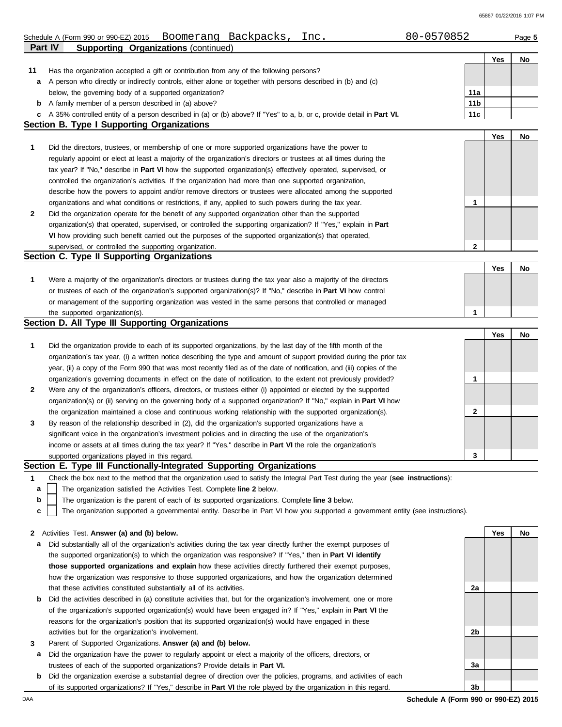|                | Schedule A (Form 990 or 990-EZ) 2015  BOOMErang Backpacks ,<br>Inc.                                                       | 80-0570852      |     | Page 5 |
|----------------|---------------------------------------------------------------------------------------------------------------------------|-----------------|-----|--------|
| <b>Part IV</b> | <b>Supporting Organizations (continued)</b>                                                                               |                 |     |        |
|                |                                                                                                                           |                 | Yes | No     |
| 11             | Has the organization accepted a gift or contribution from any of the following persons?                                   |                 |     |        |
| a              | A person who directly or indirectly controls, either alone or together with persons described in (b) and (c)              |                 |     |        |
|                | below, the governing body of a supported organization?                                                                    | 11a             |     |        |
| b              | A family member of a person described in (a) above?                                                                       | 11 <sub>b</sub> |     |        |
|                | A 35% controlled entity of a person described in (a) or (b) above? If "Yes" to a, b, or c, provide detail in Part VI.     | 11c             |     |        |
|                | <b>Section B. Type I Supporting Organizations</b>                                                                         |                 |     |        |
|                |                                                                                                                           |                 | Yes | No     |
| 1              | Did the directors, trustees, or membership of one or more supported organizations have the power to                       |                 |     |        |
|                | regularly appoint or elect at least a majority of the organization's directors or trustees at all times during the        |                 |     |        |
|                | tax year? If "No," describe in <b>Part VI</b> how the supported organization(s) effectively operated, supervised, or      |                 |     |        |
|                | controlled the organization's activities. If the organization had more than one supported organization,                   |                 |     |        |
|                | describe how the powers to appoint and/or remove directors or trustees were allocated among the supported                 |                 |     |        |
|                | organizations and what conditions or restrictions, if any, applied to such powers during the tax year.                    | 1               |     |        |
| 2              | Did the organization operate for the benefit of any supported organization other than the supported                       |                 |     |        |
|                | organization(s) that operated, supervised, or controlled the supporting organization? If "Yes," explain in Part           |                 |     |        |
|                |                                                                                                                           |                 |     |        |
|                | VI how providing such benefit carried out the purposes of the supported organization(s) that operated,                    |                 |     |        |
|                | supervised, or controlled the supporting organization.                                                                    | $\mathbf{2}$    |     |        |
|                | Section C. Type II Supporting Organizations                                                                               |                 |     |        |
|                |                                                                                                                           |                 | Yes | No     |
| 1              | Were a majority of the organization's directors or trustees during the tax year also a majority of the directors          |                 |     |        |
|                | or trustees of each of the organization's supported organization(s)? If "No," describe in Part VI how control             |                 |     |        |
|                | or management of the supporting organization was vested in the same persons that controlled or managed                    |                 |     |        |
|                | the supported organization(s).                                                                                            | 1               |     |        |
|                | Section D. All Type III Supporting Organizations                                                                          |                 |     |        |
|                |                                                                                                                           |                 | Yes | No     |
| 1              | Did the organization provide to each of its supported organizations, by the last day of the fifth month of the            |                 |     |        |
|                | organization's tax year, (i) a written notice describing the type and amount of support provided during the prior tax     |                 |     |        |
|                | year, (ii) a copy of the Form 990 that was most recently filed as of the date of notification, and (iii) copies of the    |                 |     |        |
|                | organization's governing documents in effect on the date of notification, to the extent not previously provided?          | 1               |     |        |
| 2              | Were any of the organization's officers, directors, or trustees either (i) appointed or elected by the supported          |                 |     |        |
|                | organization(s) or (ii) serving on the governing body of a supported organization? If "No," explain in <b>Part VI</b> how |                 |     |        |

| the organization maintained a close and continuous working relationship with the supported organization(s).         |
|---------------------------------------------------------------------------------------------------------------------|
| By reason of the relationship described in (2), did the organization's supported organizations have a               |
| significant voice in the organization's investment policies and in directing the use of the organization's          |
| income or assets at all times during the tax year? If "Yes," describe in <b>Part VI</b> the role the organization's |
| supported organizations played in this regard.                                                                      |

## **Section E. Type III Functionally-Integrated Supporting Organizations**

**1** Check the box next to the method that the organization used to satisfy the Integral Part Test during the year (**see instructions**):

The organization satisfied the Activities Test. Complete **line 2** below. **a**

The organization is the parent of each of its supported organizations. Complete **line 3** below.

The organization supported a governmental entity. Describe in Part VI how you supported a government entity (see instructions). **c**

|  | 2 Activities Test. Answer (a) and (b) below. |  |  |  |  |  |  |
|--|----------------------------------------------|--|--|--|--|--|--|
|--|----------------------------------------------|--|--|--|--|--|--|

- **a** Did substantially all of the organization's activities during the tax year directly further the exempt purposes of the supported organization(s) to which the organization was responsive? If "Yes," then in **Part VI identify those supported organizations and explain** how these activities directly furthered their exempt purposes, how the organization was responsive to those supported organizations, and how the organization determined that these activities constituted substantially all of its activities.
- **b** Did the activities described in (a) constitute activities that, but for the organization's involvement, one or more of the organization's supported organization(s) would have been engaged in? If "Yes," explain in **Part VI** the reasons for the organization's position that its supported organization(s) would have engaged in these activities but for the organization's involvement.
- **3** Parent of Supported Organizations. **Answer (a) and (b) below.**
- **a** Did the organization have the power to regularly appoint or elect a majority of the officers, directors, or trustees of each of the supported organizations? Provide details in **Part VI.**
- **b** Did the organization exercise a substantial degree of direction over the policies, programs, and activities of each of its supported organizations? If "Yes," describe in **Part VI** the role played by the organization in this regard.

**Yes No 2a 2b 3a 3b**

**2**

**3**

**b**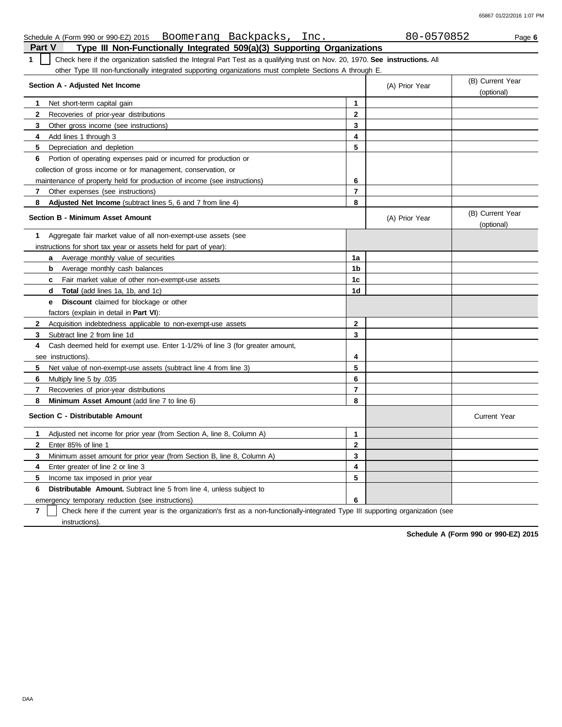| Schedule A (Form 990 or 990-EZ) 2015 Boomerang Backpacks, Inc.                                                                     |                | 80-0570852     | Page 6                         |
|------------------------------------------------------------------------------------------------------------------------------------|----------------|----------------|--------------------------------|
| Part V<br>Type III Non-Functionally Integrated 509(a)(3) Supporting Organizations                                                  |                |                |                                |
| 1<br>Check here if the organization satisfied the Integral Part Test as a qualifying trust on Nov. 20, 1970. See instructions. All |                |                |                                |
| other Type III non-functionally integrated supporting organizations must complete Sections A through E.                            |                |                |                                |
| Section A - Adjusted Net Income                                                                                                    |                | (A) Prior Year | (B) Current Year<br>(optional) |
| Net short-term capital gain<br>1                                                                                                   | 1              |                |                                |
| 2<br>Recoveries of prior-year distributions                                                                                        | $\mathbf{2}$   |                |                                |
| 3<br>Other gross income (see instructions)                                                                                         | 3              |                |                                |
| Add lines 1 through 3<br>4                                                                                                         | 4              |                |                                |
| 5<br>Depreciation and depletion                                                                                                    | 5              |                |                                |
| 6<br>Portion of operating expenses paid or incurred for production or                                                              |                |                |                                |
| collection of gross income or for management, conservation, or                                                                     |                |                |                                |
| maintenance of property held for production of income (see instructions)                                                           | 6              |                |                                |
| Other expenses (see instructions)<br>7                                                                                             | $\overline{7}$ |                |                                |
| 8<br><b>Adjusted Net Income</b> (subtract lines 5, 6 and 7 from line 4)                                                            | 8              |                |                                |
| <b>Section B - Minimum Asset Amount</b>                                                                                            |                | (A) Prior Year | (B) Current Year<br>(optional) |
| Aggregate fair market value of all non-exempt-use assets (see<br>1                                                                 |                |                |                                |
| instructions for short tax year or assets held for part of year):                                                                  |                |                |                                |
| Average monthly value of securities<br>a                                                                                           | 1a             |                |                                |
| Average monthly cash balances<br>b                                                                                                 | 1 <sub>b</sub> |                |                                |
| Fair market value of other non-exempt-use assets<br>C                                                                              | 1c             |                |                                |
| <b>Total</b> (add lines 1a, 1b, and 1c)<br>d                                                                                       | 1d             |                |                                |
| Discount claimed for blockage or other<br>e                                                                                        |                |                |                                |
| factors (explain in detail in <b>Part VI)</b> :                                                                                    |                |                |                                |
| $\mathbf{2}$<br>Acquisition indebtedness applicable to non-exempt-use assets                                                       | $\overline{2}$ |                |                                |
| 3<br>Subtract line 2 from line 1d                                                                                                  | 3              |                |                                |
| 4<br>Cash deemed held for exempt use. Enter 1-1/2% of line 3 (for greater amount,                                                  |                |                |                                |
| see instructions).                                                                                                                 | 4              |                |                                |
| 5<br>Net value of non-exempt-use assets (subtract line 4 from line 3)                                                              | 5              |                |                                |
| 6<br>035. Multiply line 5 by                                                                                                       | 6              |                |                                |
| 7<br>Recoveries of prior-year distributions                                                                                        | $\overline{7}$ |                |                                |
| Minimum Asset Amount (add line 7 to line 6)<br>8                                                                                   | 8              |                |                                |
| Section C - Distributable Amount                                                                                                   |                |                | <b>Current Year</b>            |
| Adjusted net income for prior year (from Section A, line 8, Column A)<br>1                                                         | 1              |                |                                |
| $\mathbf{2}$<br>Enter 85% of line 1                                                                                                | $\mathbf{2}$   |                |                                |
| 3<br>Minimum asset amount for prior year (from Section B, line 8, Column A)                                                        | 3              |                |                                |
| 4<br>Enter greater of line 2 or line 3                                                                                             | 4              |                |                                |
| 5<br>Income tax imposed in prior year                                                                                              | 5              |                |                                |
| <b>Distributable Amount.</b> Subtract line 5 from line 4, unless subject to<br>6                                                   |                |                |                                |
| emergency temporary reduction (see instructions)                                                                                   | 6              |                |                                |

**7** instructions). Check here if the current year is the organization's first as a non-functionally-integrated Type III supporting organization (see

**Schedule A (Form 990 or 990-EZ) 2015**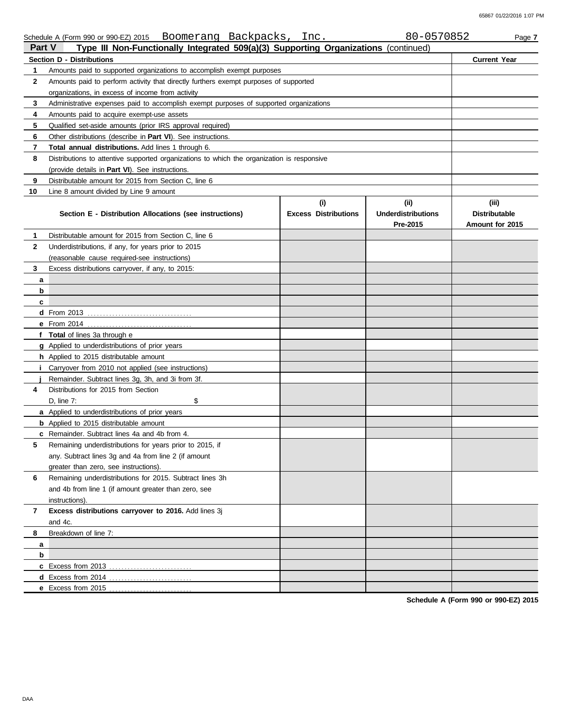| Part V                           | Type III Non-Functionally Integrated 509(a)(3) Supporting Organizations (continued)                              |                                    |                                               |                                                  |  |  |  |  |
|----------------------------------|------------------------------------------------------------------------------------------------------------------|------------------------------------|-----------------------------------------------|--------------------------------------------------|--|--|--|--|
| <b>Section D - Distributions</b> | <b>Current Year</b>                                                                                              |                                    |                                               |                                                  |  |  |  |  |
| 1.                               | Amounts paid to supported organizations to accomplish exempt purposes                                            |                                    |                                               |                                                  |  |  |  |  |
| 2                                | Amounts paid to perform activity that directly furthers exempt purposes of supported                             |                                    |                                               |                                                  |  |  |  |  |
|                                  | organizations, in excess of income from activity                                                                 |                                    |                                               |                                                  |  |  |  |  |
| 3                                | Administrative expenses paid to accomplish exempt purposes of supported organizations                            |                                    |                                               |                                                  |  |  |  |  |
| 4                                | Amounts paid to acquire exempt-use assets                                                                        |                                    |                                               |                                                  |  |  |  |  |
| 5                                | Qualified set-aside amounts (prior IRS approval required)                                                        |                                    |                                               |                                                  |  |  |  |  |
| 6                                | Other distributions (describe in <b>Part VI</b> ). See instructions.                                             |                                    |                                               |                                                  |  |  |  |  |
| 7                                | Total annual distributions. Add lines 1 through 6.                                                               |                                    |                                               |                                                  |  |  |  |  |
| 8                                | Distributions to attentive supported organizations to which the organization is responsive                       |                                    |                                               |                                                  |  |  |  |  |
|                                  | (provide details in Part VI). See instructions.                                                                  |                                    |                                               |                                                  |  |  |  |  |
| 9                                | Distributable amount for 2015 from Section C, line 6                                                             |                                    |                                               |                                                  |  |  |  |  |
| 10                               | Line 8 amount divided by Line 9 amount                                                                           |                                    |                                               |                                                  |  |  |  |  |
|                                  | Section E - Distribution Allocations (see instructions)                                                          | (i)<br><b>Excess Distributions</b> | (ii)<br><b>Underdistributions</b><br>Pre-2015 | (iii)<br><b>Distributable</b><br>Amount for 2015 |  |  |  |  |
| 1                                | Distributable amount for 2015 from Section C, line 6                                                             |                                    |                                               |                                                  |  |  |  |  |
| 2                                | Underdistributions, if any, for years prior to 2015                                                              |                                    |                                               |                                                  |  |  |  |  |
|                                  | (reasonable cause required-see instructions)                                                                     |                                    |                                               |                                                  |  |  |  |  |
| 3                                | Excess distributions carryover, if any, to 2015:                                                                 |                                    |                                               |                                                  |  |  |  |  |
| a                                |                                                                                                                  |                                    |                                               |                                                  |  |  |  |  |
| b                                |                                                                                                                  |                                    |                                               |                                                  |  |  |  |  |
| c                                |                                                                                                                  |                                    |                                               |                                                  |  |  |  |  |
|                                  |                                                                                                                  |                                    |                                               |                                                  |  |  |  |  |
|                                  |                                                                                                                  |                                    |                                               |                                                  |  |  |  |  |
|                                  | f Total of lines 3a through e                                                                                    |                                    |                                               |                                                  |  |  |  |  |
|                                  | g Applied to underdistributions of prior years                                                                   |                                    |                                               |                                                  |  |  |  |  |
|                                  | h Applied to 2015 distributable amount                                                                           |                                    |                                               |                                                  |  |  |  |  |
|                                  | <i>i</i> Carryover from 2010 not applied (see instructions)                                                      |                                    |                                               |                                                  |  |  |  |  |
|                                  | Remainder. Subtract lines 3g, 3h, and 3i from 3f.                                                                |                                    |                                               |                                                  |  |  |  |  |
| 4                                | Distributions for 2015 from Section                                                                              |                                    |                                               |                                                  |  |  |  |  |
|                                  | \$<br>D, line $7:$                                                                                               |                                    |                                               |                                                  |  |  |  |  |
|                                  | <b>a</b> Applied to underdistributions of prior years                                                            |                                    |                                               |                                                  |  |  |  |  |
|                                  | <b>b</b> Applied to 2015 distributable amount                                                                    |                                    |                                               |                                                  |  |  |  |  |
| 5                                | <b>c</b> Remainder. Subtract lines 4a and 4b from 4.<br>Remaining underdistributions for years prior to 2015, if |                                    |                                               |                                                  |  |  |  |  |
|                                  |                                                                                                                  |                                    |                                               |                                                  |  |  |  |  |
|                                  | any. Subtract lines 3g and 4a from line 2 (if amount<br>greater than zero, see instructions).                    |                                    |                                               |                                                  |  |  |  |  |
|                                  |                                                                                                                  |                                    |                                               |                                                  |  |  |  |  |
|                                  | Remaining underdistributions for 2015. Subtract lines 3h<br>6                                                    |                                    |                                               |                                                  |  |  |  |  |
|                                  | and 4b from line 1 (if amount greater than zero, see<br>instructions).                                           |                                    |                                               |                                                  |  |  |  |  |
| 7                                | Excess distributions carryover to 2016. Add lines 3j                                                             |                                    |                                               |                                                  |  |  |  |  |
|                                  | and 4c.                                                                                                          |                                    |                                               |                                                  |  |  |  |  |
| 8                                | Breakdown of line 7:                                                                                             |                                    |                                               |                                                  |  |  |  |  |
| а                                |                                                                                                                  |                                    |                                               |                                                  |  |  |  |  |
| b                                |                                                                                                                  |                                    |                                               |                                                  |  |  |  |  |
|                                  | <b>c</b> Excess from 2013                                                                                        |                                    |                                               |                                                  |  |  |  |  |
|                                  | <b>d</b> Excess from 2014                                                                                        |                                    |                                               |                                                  |  |  |  |  |
|                                  | <b>e</b> Excess from 2015                                                                                        |                                    |                                               |                                                  |  |  |  |  |
|                                  |                                                                                                                  |                                    |                                               |                                                  |  |  |  |  |

**Schedule A (Form 990 or 990-EZ) 2015**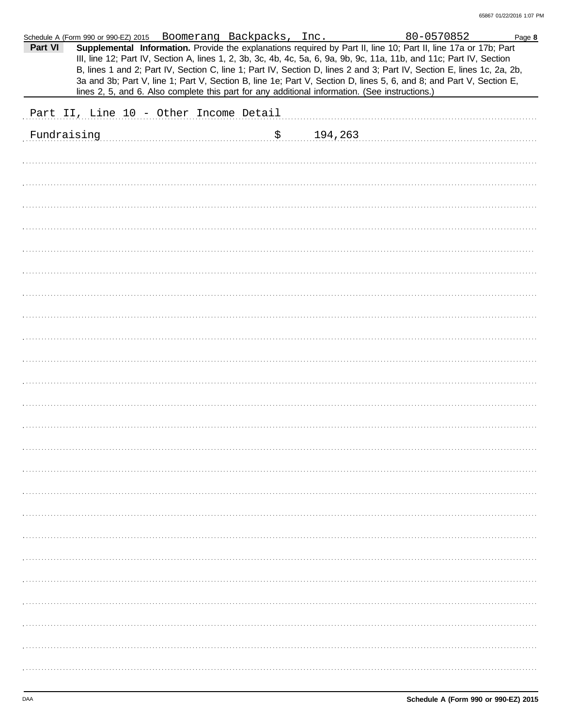|             | Schedule A (Form 990 or 990-EZ) 2015 Boomerang Backpacks, Inc. |    |                                                                                                | 80-0570852                                                                                                                                                                                                                                                                                                                                                                                                                                                                               | Page 8 |
|-------------|----------------------------------------------------------------|----|------------------------------------------------------------------------------------------------|------------------------------------------------------------------------------------------------------------------------------------------------------------------------------------------------------------------------------------------------------------------------------------------------------------------------------------------------------------------------------------------------------------------------------------------------------------------------------------------|--------|
| Part VI     |                                                                |    |                                                                                                | Supplemental Information. Provide the explanations required by Part II, line 10; Part II, line 17a or 17b; Part<br>III, line 12; Part IV, Section A, lines 1, 2, 3b, 3c, 4b, 4c, 5a, 6, 9a, 9b, 9c, 11a, 11b, and 11c; Part IV, Section<br>B, lines 1 and 2; Part IV, Section C, line 1; Part IV, Section D, lines 2 and 3; Part IV, Section E, lines 1c, 2a, 2b,<br>3a and 3b; Part V, line 1; Part V, Section B, line 1e; Part V, Section D, lines 5, 6, and 8; and Part V, Section E, |        |
|             |                                                                |    | lines 2, 5, and 6. Also complete this part for any additional information. (See instructions.) |                                                                                                                                                                                                                                                                                                                                                                                                                                                                                          |        |
|             | Part II, Line 10 - Other Income Detail                         |    |                                                                                                |                                                                                                                                                                                                                                                                                                                                                                                                                                                                                          |        |
| Fundraising |                                                                | \$ | 194,263                                                                                        |                                                                                                                                                                                                                                                                                                                                                                                                                                                                                          |        |
|             |                                                                |    |                                                                                                |                                                                                                                                                                                                                                                                                                                                                                                                                                                                                          |        |
|             |                                                                |    |                                                                                                |                                                                                                                                                                                                                                                                                                                                                                                                                                                                                          |        |
|             |                                                                |    |                                                                                                |                                                                                                                                                                                                                                                                                                                                                                                                                                                                                          |        |
|             |                                                                |    |                                                                                                |                                                                                                                                                                                                                                                                                                                                                                                                                                                                                          |        |
|             |                                                                |    |                                                                                                |                                                                                                                                                                                                                                                                                                                                                                                                                                                                                          |        |
|             |                                                                |    |                                                                                                |                                                                                                                                                                                                                                                                                                                                                                                                                                                                                          |        |
|             |                                                                |    |                                                                                                |                                                                                                                                                                                                                                                                                                                                                                                                                                                                                          |        |
|             |                                                                |    |                                                                                                |                                                                                                                                                                                                                                                                                                                                                                                                                                                                                          |        |
|             |                                                                |    |                                                                                                |                                                                                                                                                                                                                                                                                                                                                                                                                                                                                          |        |
|             |                                                                |    |                                                                                                |                                                                                                                                                                                                                                                                                                                                                                                                                                                                                          |        |
|             |                                                                |    |                                                                                                |                                                                                                                                                                                                                                                                                                                                                                                                                                                                                          |        |
|             |                                                                |    |                                                                                                |                                                                                                                                                                                                                                                                                                                                                                                                                                                                                          |        |
|             |                                                                |    |                                                                                                |                                                                                                                                                                                                                                                                                                                                                                                                                                                                                          |        |
|             |                                                                |    |                                                                                                |                                                                                                                                                                                                                                                                                                                                                                                                                                                                                          |        |
|             |                                                                |    |                                                                                                |                                                                                                                                                                                                                                                                                                                                                                                                                                                                                          |        |
|             |                                                                |    |                                                                                                |                                                                                                                                                                                                                                                                                                                                                                                                                                                                                          |        |
|             |                                                                |    |                                                                                                |                                                                                                                                                                                                                                                                                                                                                                                                                                                                                          |        |
|             |                                                                |    |                                                                                                |                                                                                                                                                                                                                                                                                                                                                                                                                                                                                          |        |
|             |                                                                |    |                                                                                                |                                                                                                                                                                                                                                                                                                                                                                                                                                                                                          |        |
|             |                                                                |    |                                                                                                |                                                                                                                                                                                                                                                                                                                                                                                                                                                                                          |        |
|             |                                                                |    |                                                                                                |                                                                                                                                                                                                                                                                                                                                                                                                                                                                                          |        |
|             |                                                                |    |                                                                                                |                                                                                                                                                                                                                                                                                                                                                                                                                                                                                          |        |
|             |                                                                |    |                                                                                                |                                                                                                                                                                                                                                                                                                                                                                                                                                                                                          |        |
|             |                                                                |    |                                                                                                |                                                                                                                                                                                                                                                                                                                                                                                                                                                                                          |        |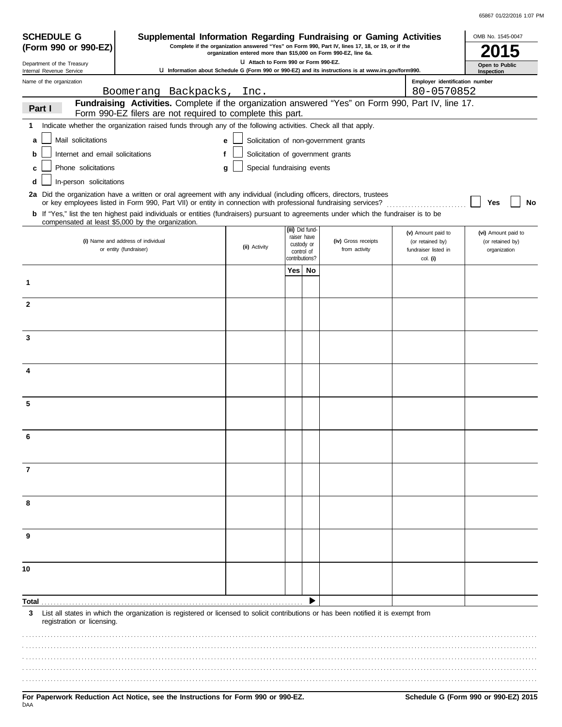| 65867 01/22/2016 1:07 PM |  |
|--------------------------|--|
|                          |  |

| <b>SCHEDULE G</b>                                      | Supplemental Information Regarding Fundraising or Gaming Activities                                                                                                                                                                     |                                        |                              |             |                                       |                                          | OMB No. 1545-0047                |  |
|--------------------------------------------------------|-----------------------------------------------------------------------------------------------------------------------------------------------------------------------------------------------------------------------------------------|----------------------------------------|------------------------------|-------------|---------------------------------------|------------------------------------------|----------------------------------|--|
| (Form 990 or 990-EZ)                                   | Complete if the organization answered "Yes" on Form 990, Part IV, lines 17, 18, or 19, or if the<br>organization entered more than \$15,000 on Form 990-EZ, line 6a.<br>LI Attach to Form 990 or Form 990-EZ.                           |                                        |                              |             |                                       |                                          |                                  |  |
| Department of the Treasury<br>Internal Revenue Service | U Information about Schedule G (Form 990 or 990-EZ) and its instructions is at www.irs.gov/form990.                                                                                                                                     |                                        | Open to Public<br>Inspection |             |                                       |                                          |                                  |  |
| Name of the organization                               | Employer identification number                                                                                                                                                                                                          |                                        |                              |             |                                       |                                          |                                  |  |
|                                                        | Boomerang Backpacks,<br>80-0570852<br>Inc.<br>Fundraising Activities. Complete if the organization answered "Yes" on Form 990, Part IV, line 17.                                                                                        |                                        |                              |             |                                       |                                          |                                  |  |
| Part I                                                 | Form 990-EZ filers are not required to complete this part.                                                                                                                                                                              |                                        |                              |             |                                       |                                          |                                  |  |
| 1.                                                     | Indicate whether the organization raised funds through any of the following activities. Check all that apply.                                                                                                                           |                                        |                              |             |                                       |                                          |                                  |  |
| Mail solicitations<br>a                                |                                                                                                                                                                                                                                         | e                                      |                              |             | Solicitation of non-government grants |                                          |                                  |  |
| Internet and email solicitations<br>b                  |                                                                                                                                                                                                                                         | Solicitation of government grants<br>f |                              |             |                                       |                                          |                                  |  |
| Phone solicitations<br>c                               |                                                                                                                                                                                                                                         | Special fundraising events<br>g        |                              |             |                                       |                                          |                                  |  |
| In-person solicitations<br>d                           |                                                                                                                                                                                                                                         |                                        |                              |             |                                       |                                          |                                  |  |
|                                                        | 2a Did the organization have a written or oral agreement with any individual (including officers, directors, trustees<br>or key employees listed in Form 990, Part VII) or entity in connection with professional fundraising services? |                                        |                              |             |                                       |                                          | No<br>Yes                        |  |
|                                                        | b If "Yes," list the ten highest paid individuals or entities (fundraisers) pursuant to agreements under which the fundraiser is to be<br>compensated at least \$5,000 by the organization.                                             |                                        |                              |             |                                       |                                          |                                  |  |
|                                                        |                                                                                                                                                                                                                                         |                                        | (iii) Did fund-              | raiser have |                                       | (v) Amount paid to                       | (vi) Amount paid to              |  |
|                                                        | (i) Name and address of individual<br>or entity (fundraiser)                                                                                                                                                                            | (ii) Activity                          | control of                   | custody or  | (iv) Gross receipts<br>from activity  | (or retained by)<br>fundraiser listed in | (or retained by)<br>organization |  |
|                                                        |                                                                                                                                                                                                                                         |                                        | contributions?               |             |                                       | col. (i)                                 |                                  |  |
|                                                        |                                                                                                                                                                                                                                         |                                        | Yes   No                     |             |                                       |                                          |                                  |  |
| 1                                                      |                                                                                                                                                                                                                                         |                                        |                              |             |                                       |                                          |                                  |  |
| $\mathbf{2}$                                           |                                                                                                                                                                                                                                         |                                        |                              |             |                                       |                                          |                                  |  |
|                                                        |                                                                                                                                                                                                                                         |                                        |                              |             |                                       |                                          |                                  |  |
| 3                                                      |                                                                                                                                                                                                                                         |                                        |                              |             |                                       |                                          |                                  |  |
|                                                        |                                                                                                                                                                                                                                         |                                        |                              |             |                                       |                                          |                                  |  |
| Δ                                                      |                                                                                                                                                                                                                                         |                                        |                              |             |                                       |                                          |                                  |  |
|                                                        |                                                                                                                                                                                                                                         |                                        |                              |             |                                       |                                          |                                  |  |
| 5                                                      |                                                                                                                                                                                                                                         |                                        |                              |             |                                       |                                          |                                  |  |
|                                                        |                                                                                                                                                                                                                                         |                                        |                              |             |                                       |                                          |                                  |  |
|                                                        |                                                                                                                                                                                                                                         |                                        |                              |             |                                       |                                          |                                  |  |
|                                                        |                                                                                                                                                                                                                                         |                                        |                              |             |                                       |                                          |                                  |  |
|                                                        |                                                                                                                                                                                                                                         |                                        |                              |             |                                       |                                          |                                  |  |
| 7                                                      |                                                                                                                                                                                                                                         |                                        |                              |             |                                       |                                          |                                  |  |
|                                                        |                                                                                                                                                                                                                                         |                                        |                              |             |                                       |                                          |                                  |  |
| 8                                                      |                                                                                                                                                                                                                                         |                                        |                              |             |                                       |                                          |                                  |  |
|                                                        |                                                                                                                                                                                                                                         |                                        |                              |             |                                       |                                          |                                  |  |
| 9                                                      |                                                                                                                                                                                                                                         |                                        |                              |             |                                       |                                          |                                  |  |
|                                                        |                                                                                                                                                                                                                                         |                                        |                              |             |                                       |                                          |                                  |  |
| 10                                                     |                                                                                                                                                                                                                                         |                                        |                              |             |                                       |                                          |                                  |  |
|                                                        |                                                                                                                                                                                                                                         |                                        |                              |             |                                       |                                          |                                  |  |
|                                                        |                                                                                                                                                                                                                                         |                                        |                              |             |                                       |                                          |                                  |  |
| Total<br>3<br>registration or licensing.               | List all states in which the organization is registered or licensed to solicit contributions or has been notified it is exempt from                                                                                                     |                                        |                              |             |                                       |                                          |                                  |  |
|                                                        |                                                                                                                                                                                                                                         |                                        |                              |             |                                       |                                          |                                  |  |
|                                                        |                                                                                                                                                                                                                                         |                                        |                              |             |                                       |                                          |                                  |  |
|                                                        |                                                                                                                                                                                                                                         |                                        |                              |             |                                       |                                          |                                  |  |
|                                                        |                                                                                                                                                                                                                                         |                                        |                              |             |                                       |                                          |                                  |  |
|                                                        |                                                                                                                                                                                                                                         |                                        |                              |             |                                       |                                          |                                  |  |

For Paperwork Reduction Act Notice, see the Instructions for Form 990 or 990-EZ. Schedule G (Form 990 or 990-EZ) 2015<br><sup>DAA</sup>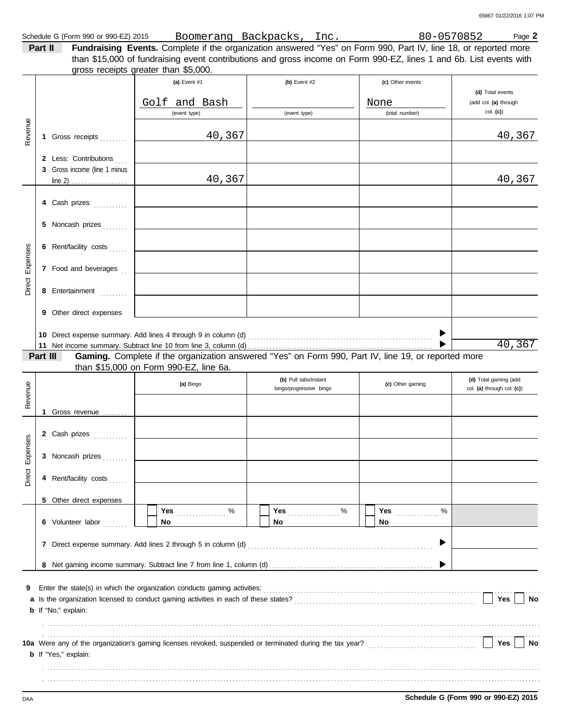| 990 or 990-EZ) 2015<br>Schedule<br>-orm<br>. . | 2.5223225<br>ome<br>na<br>mю<br>℆ | $\sim$ $\sim$<br>----<br>R <sub>n</sub><br>. .<br><i>rnacrs</i><br>n.<br>$\ddot{\phantom{1}}$ | ınc | $^{\prime}$ 1. | Page |
|------------------------------------------------|-----------------------------------|-----------------------------------------------------------------------------------------------|-----|----------------|------|
|                                                |                                   |                                                                                               |     |                |      |

| Part II | <b>Fundraising Events.</b> Complete if the organization answered "Yes" on Form 990, Part IV, line 18, or reported more |
|---------|------------------------------------------------------------------------------------------------------------------------|
|         | than \$15,000 of fundraising event contributions and gross income on Form 990-EZ, lines 1 and 6b. List events with     |
|         | gross receipts greater than \$5,000.                                                                                   |

|          |          |                              | (a) Event #1                                                                                             | (b) Event #2            | (c) Other events |                                      |
|----------|----------|------------------------------|----------------------------------------------------------------------------------------------------------|-------------------------|------------------|--------------------------------------|
|          |          |                              |                                                                                                          |                         |                  | (d) Total events                     |
|          |          |                              | Golf and Bash                                                                                            |                         | None             | (add col. (a) through                |
|          |          |                              | (event type)                                                                                             | (event type)            | (total number)   | $col.$ (c))                          |
|          |          |                              |                                                                                                          |                         |                  |                                      |
| Revenue  |          | 1 Gross receipts             | 40,367                                                                                                   |                         |                  | 40,367                               |
|          |          |                              |                                                                                                          |                         |                  |                                      |
|          |          | 2 Less: Contributions        |                                                                                                          |                         |                  |                                      |
|          |          | 3 Gross income (line 1 minus | 40,367                                                                                                   |                         |                  | 40,367                               |
|          |          | line 2) $\ldots$             |                                                                                                          |                         |                  |                                      |
|          |          | 4 Cash prizes                |                                                                                                          |                         |                  |                                      |
|          |          |                              |                                                                                                          |                         |                  |                                      |
|          |          | 5 Noncash prizes             |                                                                                                          |                         |                  |                                      |
|          |          |                              |                                                                                                          |                         |                  |                                      |
|          |          | 6 Rent/facility costs        |                                                                                                          |                         |                  |                                      |
| Expenses |          |                              |                                                                                                          |                         |                  |                                      |
|          |          | 7 Food and beverages         |                                                                                                          |                         |                  |                                      |
| Direct   |          |                              |                                                                                                          |                         |                  |                                      |
|          |          | 8 Entertainment              |                                                                                                          |                         |                  |                                      |
|          |          |                              |                                                                                                          |                         |                  |                                      |
|          |          | 9 Other direct expenses      |                                                                                                          |                         |                  |                                      |
|          |          |                              |                                                                                                          |                         |                  |                                      |
|          |          |                              |                                                                                                          |                         |                  | 40,367                               |
|          | Part III |                              | Gaming. Complete if the organization answered "Yes" on Form 990, Part IV, line 19, or reported more      |                         |                  |                                      |
|          |          |                              | than \$15,000 on Form 990-EZ, line 6a.                                                                   |                         |                  |                                      |
|          |          |                              | (a) Bingo                                                                                                | (b) Pull tabs/instant   | (c) Other gaming | (d) Total gaming (add                |
|          |          |                              |                                                                                                          | bingo/progressive bingo |                  | col. (a) through col. (c))           |
| Revenue  |          |                              |                                                                                                          |                         |                  |                                      |
|          |          | 1 Gross revenue              |                                                                                                          |                         |                  |                                      |
|          |          |                              |                                                                                                          |                         |                  |                                      |
|          |          |                              |                                                                                                          |                         |                  |                                      |
| Expenses |          | 3 Noncash prizes             |                                                                                                          |                         |                  |                                      |
|          |          |                              |                                                                                                          |                         |                  |                                      |
| Direct   |          | 4 Rent/facility costs        |                                                                                                          |                         |                  |                                      |
|          |          |                              |                                                                                                          |                         |                  |                                      |
|          |          | 5 Other direct expenses      |                                                                                                          |                         |                  |                                      |
|          |          |                              | Yes<br>%                                                                                                 | Yes<br>%                | Yes<br>%         |                                      |
|          |          | 6 Volunteer labor            | No                                                                                                       | No                      | No               |                                      |
|          |          |                              |                                                                                                          |                         |                  |                                      |
|          |          |                              | 7 Direct expense summary. Add lines 2 through 5 in column (d)                                            |                         |                  |                                      |
|          |          |                              |                                                                                                          |                         |                  |                                      |
|          |          |                              |                                                                                                          |                         |                  |                                      |
| 9        |          |                              | Enter the state(s) in which the organization conducts gaming activities:                                 |                         |                  |                                      |
| a        |          |                              |                                                                                                          |                         |                  | Yes<br>No                            |
|          |          | <b>b</b> If "No," explain:   |                                                                                                          |                         |                  |                                      |
|          |          |                              |                                                                                                          |                         |                  |                                      |
|          |          |                              |                                                                                                          |                         |                  |                                      |
|          |          |                              | 10a Were any of the organization's gaming licenses revoked, suspended or terminated during the tax year? |                         |                  | Yes<br>No                            |
|          |          | <b>b</b> If "Yes," explain:  |                                                                                                          |                         |                  |                                      |
|          |          |                              |                                                                                                          |                         |                  |                                      |
|          |          |                              |                                                                                                          |                         |                  |                                      |
| DAA      |          |                              |                                                                                                          |                         |                  | Schedule G (Form 990 or 990-EZ) 2015 |
|          |          |                              |                                                                                                          |                         |                  |                                      |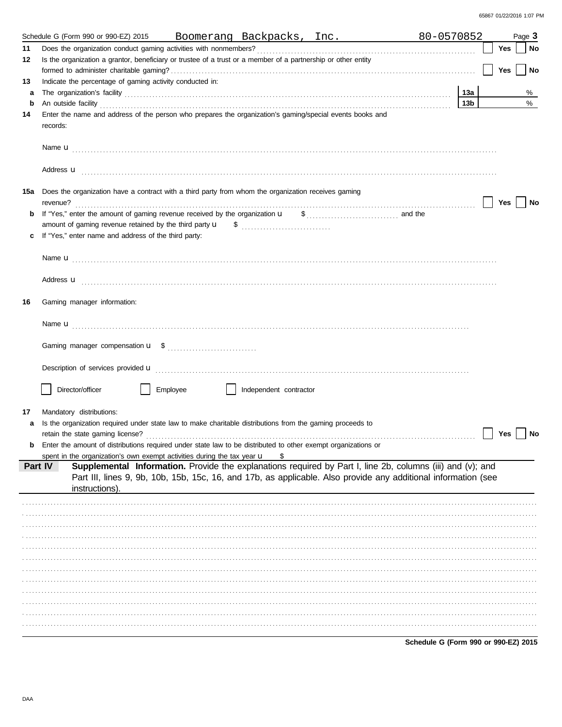|     | 80-0570852<br>Boomerang Backpacks, Inc.<br>Schedule G (Form 990 or 990-EZ) 2015                                                                                                                                                     |                 |     | Page 3 |
|-----|-------------------------------------------------------------------------------------------------------------------------------------------------------------------------------------------------------------------------------------|-----------------|-----|--------|
| 11  | Does the organization conduct gaming activities with nonmembers?                                                                                                                                                                    |                 | Yes | No     |
| 12  | Is the organization a grantor, beneficiary or trustee of a trust or a member of a partnership or other entity                                                                                                                       |                 |     |        |
|     |                                                                                                                                                                                                                                     |                 | Yes | No     |
| 13  | Indicate the percentage of gaming activity conducted in:                                                                                                                                                                            |                 |     |        |
| а   |                                                                                                                                                                                                                                     | 13а             |     | %      |
| b   | An outside facility <b>contained an activity of the facility contained and the contained and activity of the contained and contained and contained and contained and contained and contained and contained and contained and c</b>  | 13 <sub>b</sub> |     | %      |
| 14  | Enter the name and address of the person who prepares the organization's gaming/special events books and                                                                                                                            |                 |     |        |
|     | records:                                                                                                                                                                                                                            |                 |     |        |
|     |                                                                                                                                                                                                                                     |                 |     |        |
|     |                                                                                                                                                                                                                                     |                 |     |        |
|     |                                                                                                                                                                                                                                     |                 |     |        |
|     |                                                                                                                                                                                                                                     |                 |     |        |
| 15a | Does the organization have a contract with a third party from whom the organization receives gaming                                                                                                                                 |                 |     |        |
|     |                                                                                                                                                                                                                                     |                 | Yes | No     |
|     |                                                                                                                                                                                                                                     |                 |     |        |
|     |                                                                                                                                                                                                                                     |                 |     |        |
|     | If "Yes," enter name and address of the third party:                                                                                                                                                                                |                 |     |        |
|     |                                                                                                                                                                                                                                     |                 |     |        |
|     |                                                                                                                                                                                                                                     |                 |     |        |
|     | Address <b>u</b>                                                                                                                                                                                                                    |                 |     |        |
| 16  | Gaming manager information:                                                                                                                                                                                                         |                 |     |        |
|     |                                                                                                                                                                                                                                     |                 |     |        |
|     |                                                                                                                                                                                                                                     |                 |     |        |
|     |                                                                                                                                                                                                                                     |                 |     |        |
|     | Description of services provided <b>u</b> encourance encourance and a service of the service of the services of the services of the service of the service of the service of the service of the service of the service of the servi |                 |     |        |
|     |                                                                                                                                                                                                                                     |                 |     |        |
|     | Director/officer<br>Employee<br>Independent contractor                                                                                                                                                                              |                 |     |        |
|     |                                                                                                                                                                                                                                     |                 |     |        |
| 17  | Mandatory distributions:                                                                                                                                                                                                            |                 |     |        |
| a   | Is the organization required under state law to make charitable distributions from the gaming proceeds to                                                                                                                           |                 |     |        |
|     |                                                                                                                                                                                                                                     |                 | Yes | No     |
|     | Enter the amount of distributions required under state law to be distributed to other exempt organizations or                                                                                                                       |                 |     |        |
|     | spent in the organization's own exempt activities during the tax year $\mathbf u$                                                                                                                                                   |                 |     |        |
|     | Supplemental Information. Provide the explanations required by Part I, line 2b, columns (iii) and (v); and<br>Part IV                                                                                                               |                 |     |        |
|     | Part III, lines 9, 9b, 10b, 15b, 15c, 16, and 17b, as applicable. Also provide any additional information (see                                                                                                                      |                 |     |        |
|     | instructions).                                                                                                                                                                                                                      |                 |     |        |
|     |                                                                                                                                                                                                                                     |                 |     |        |
|     |                                                                                                                                                                                                                                     |                 |     |        |
|     |                                                                                                                                                                                                                                     |                 |     |        |
|     |                                                                                                                                                                                                                                     |                 |     |        |
|     |                                                                                                                                                                                                                                     |                 |     |        |
|     |                                                                                                                                                                                                                                     |                 |     |        |
|     |                                                                                                                                                                                                                                     |                 |     |        |
|     |                                                                                                                                                                                                                                     |                 |     |        |
|     |                                                                                                                                                                                                                                     |                 |     |        |
|     |                                                                                                                                                                                                                                     |                 |     |        |
|     |                                                                                                                                                                                                                                     |                 |     |        |
|     |                                                                                                                                                                                                                                     |                 |     |        |
|     |                                                                                                                                                                                                                                     |                 |     |        |

Schedule G (Form 990 or 990-EZ) 2015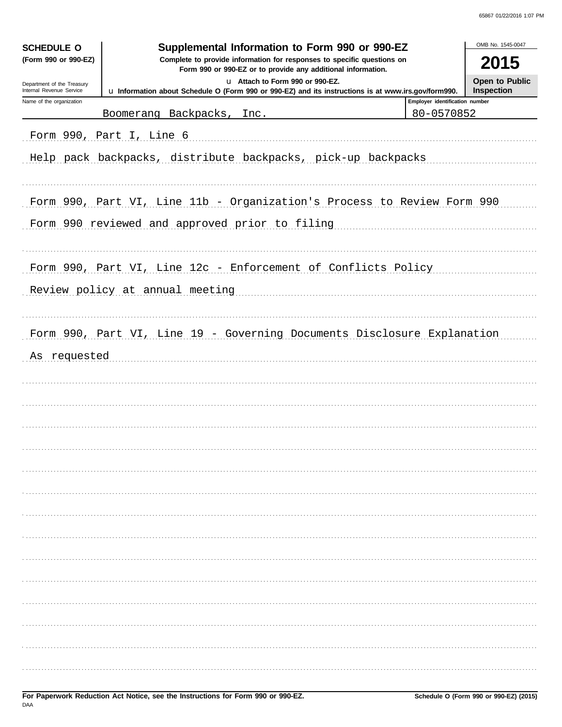| Supplemental Information to Form 990 or 990-EZ<br><b>SCHEDULE O</b><br>(Form 990 or 990-EZ)<br>Complete to provide information for responses to specific questions on |                                                                                                                           |                                              | OMB No. 1545-0047<br>2015 |  |  |
|-----------------------------------------------------------------------------------------------------------------------------------------------------------------------|---------------------------------------------------------------------------------------------------------------------------|----------------------------------------------|---------------------------|--|--|
|                                                                                                                                                                       | Form 990 or 990-EZ or to provide any additional information.<br>u Attach to Form 990 or 990-EZ.                           |                                              | Open to Public            |  |  |
| Department of the Treasury<br>Internal Revenue Service                                                                                                                | La Information about Schedule O (Form 990 or 990-EZ) and its instructions is at www.irs.gov/form990.                      |                                              | <b>Inspection</b>         |  |  |
| Name of the organization                                                                                                                                              | Boomerang Backpacks, Inc.                                                                                                 | Employer identification number<br>80-0570852 |                           |  |  |
|                                                                                                                                                                       | Form 990, Part I, Line 6                                                                                                  |                                              |                           |  |  |
|                                                                                                                                                                       | Help pack backpacks, distribute backpacks, pick-up backpacks                                                              |                                              |                           |  |  |
|                                                                                                                                                                       | Form 990, Part VI, Line 11b - Organization's Process to Review Form 990<br>Form 990 reviewed and approved prior to filing |                                              |                           |  |  |
|                                                                                                                                                                       | Form 990, Part VI, Line 12c - Enforcement of Conflicts Policy                                                             |                                              |                           |  |  |
|                                                                                                                                                                       |                                                                                                                           |                                              |                           |  |  |
|                                                                                                                                                                       | Review policy at annual meeting                                                                                           |                                              |                           |  |  |
|                                                                                                                                                                       |                                                                                                                           |                                              |                           |  |  |
|                                                                                                                                                                       |                                                                                                                           |                                              |                           |  |  |
|                                                                                                                                                                       | Form 990, Part VI, Line 19 - Governing Documents Disclosure Explanation                                                   |                                              |                           |  |  |
| As requested                                                                                                                                                          |                                                                                                                           |                                              |                           |  |  |
|                                                                                                                                                                       |                                                                                                                           |                                              |                           |  |  |
|                                                                                                                                                                       |                                                                                                                           |                                              |                           |  |  |
|                                                                                                                                                                       |                                                                                                                           |                                              |                           |  |  |
|                                                                                                                                                                       |                                                                                                                           |                                              |                           |  |  |
|                                                                                                                                                                       |                                                                                                                           |                                              |                           |  |  |
|                                                                                                                                                                       |                                                                                                                           |                                              |                           |  |  |
|                                                                                                                                                                       |                                                                                                                           |                                              |                           |  |  |
|                                                                                                                                                                       |                                                                                                                           |                                              |                           |  |  |
|                                                                                                                                                                       |                                                                                                                           |                                              |                           |  |  |
|                                                                                                                                                                       |                                                                                                                           |                                              |                           |  |  |
|                                                                                                                                                                       |                                                                                                                           |                                              |                           |  |  |
|                                                                                                                                                                       |                                                                                                                           |                                              |                           |  |  |
|                                                                                                                                                                       |                                                                                                                           |                                              |                           |  |  |
|                                                                                                                                                                       |                                                                                                                           |                                              |                           |  |  |
|                                                                                                                                                                       |                                                                                                                           |                                              |                           |  |  |
|                                                                                                                                                                       |                                                                                                                           |                                              |                           |  |  |
|                                                                                                                                                                       |                                                                                                                           |                                              |                           |  |  |
|                                                                                                                                                                       |                                                                                                                           |                                              |                           |  |  |
|                                                                                                                                                                       |                                                                                                                           |                                              |                           |  |  |
|                                                                                                                                                                       |                                                                                                                           |                                              |                           |  |  |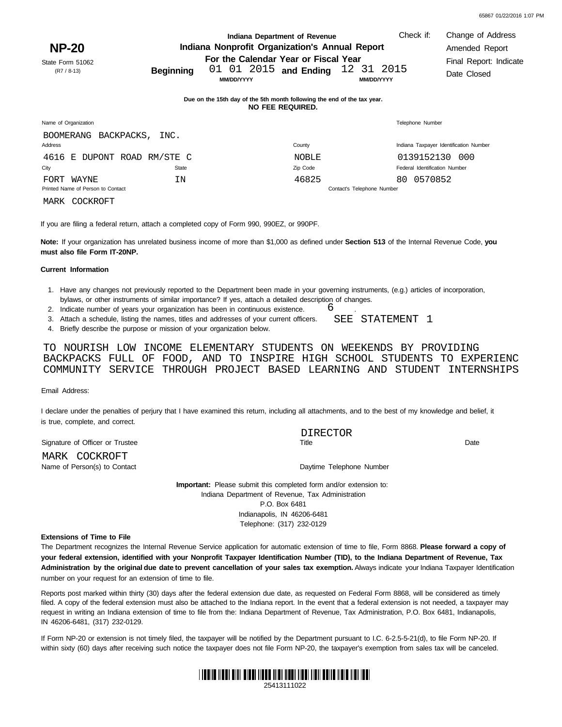**NP-20**

State Form 51062 (R7 / 8-13)

## **Indiana Department of Revenue Indiana Nonprofit Organization's Annual Report For the Calendar Year or Fiscal Year**

**MM/DD/YYYY**

**Beginning** 01 01 2015 and Ending 12 31 2015

**MM/DD/YYYY**

Check if: Change of Address Amended Report Final Report: Indicate Date Closed

**Due on the 15th day of the 5th month following the end of the tax year. NO FEE REQUIRED.**

| Name of Organization              |              |              | Telephone Number                       |
|-----------------------------------|--------------|--------------|----------------------------------------|
| BOOMERANG BACKPACKS, INC.         |              |              |                                        |
| Address                           |              | County       | Indiana Taxpayer Identification Number |
| 4616 E DUPONT ROAD RM/STE C       |              | <b>NOBLE</b> | 0139152130 000                         |
| City                              | <b>State</b> | Zip Code     | Federal Identification Number          |
| WAYNE<br>FORT                     | ΙN           | 46825        | 0570852<br>80                          |
| Printed Name of Person to Contact |              |              | Contact's Telephone Number             |
| COCKROFT<br>MARK                  |              |              |                                        |

If you are filing a federal return, attach a completed copy of Form 990, 990EZ, or 990PF.

**Note:** If your organization has unrelated business income of more than \$1,000 as defined under **Section 513** of the Internal Revenue Code, **you must also file Form IT-20NP.**

### **Current Information**

- 1. Have any changes not previously reported to the Department been made in your governing instruments, (e.g.) articles of incorporation, bylaws, or other instruments of similar importance? If yes, attach a detailed description of changes.
- 2. Indicate number of years your organization has been in continuous existence.
- 3. Attach a schedule, listing the names, titles and addresses of your current officers. SEE STATEMENT 1
- 4. Briefly describe the purpose or mission of your organization below.

TO NOURISH LOW INCOME ELEMENTARY STUDENTS ON WEEKENDS BY PROVIDING BACKPACKS FULL OF FOOD, AND TO INSPIRE HIGH SCHOOL STUDENTS TO EXPERIENC COMMUNITY SERVICE THROUGH PROJECT BASED LEARNING AND STUDENT INTERNSHIPS

### Email Address:

I declare under the penalties of perjury that I have examined this return, including all attachments, and to the best of my knowledge and belief, it is true, complete, and correct.

Signature of Officer or Trustee

Name of Person(s) to Contact **Daytime Telephone Number** Daytime Telephone Number MARK COCKROFT

Title Date DIRECTOR<br>Title

.

6

**Important:** Please submit this completed form and/or extension to: Indiana Department of Revenue, Tax Administration P.O. Box 6481 Indianapolis, IN 46206-6481 Telephone: (317) 232-0129

### **Extensions of Time to File**

The Department recognizes the Internal Revenue Service application for automatic extension of time to file, Form 8868. **Please forward a copy of your federal extension, identified with your Nonprofit Taxpayer Identification Number (TID), to the Indiana Department of Revenue, Tax Administration by the original due date to prevent cancellation of your sales tax exemption.** Always indicate your Indiana Taxpayer Identification number on your request for an extension of time to file.

Reports post marked within thirty (30) days after the federal extension due date, as requested on Federal Form 8868, will be considered as timely filed. A copy of the federal extension must also be attached to the Indiana report. In the event that a federal extension is not needed, a taxpayer may request in writing an Indiana extension of time to file from the: Indiana Department of Revenue, Tax Administration, P.O. Box 6481, Indianapolis, IN 46206-6481, (317) 232-0129.

within sixty (60) days after receiving such notice the taxpayer does not file Form NP-20, the taxpayer's exemption from sales tax will be canceled. If Form NP-20 or extension is not timely filed, the taxpayer will be notified by the Department pursuant to I.C. 6-2.5-5-21(d), to file Form NP-20. If



25413111022